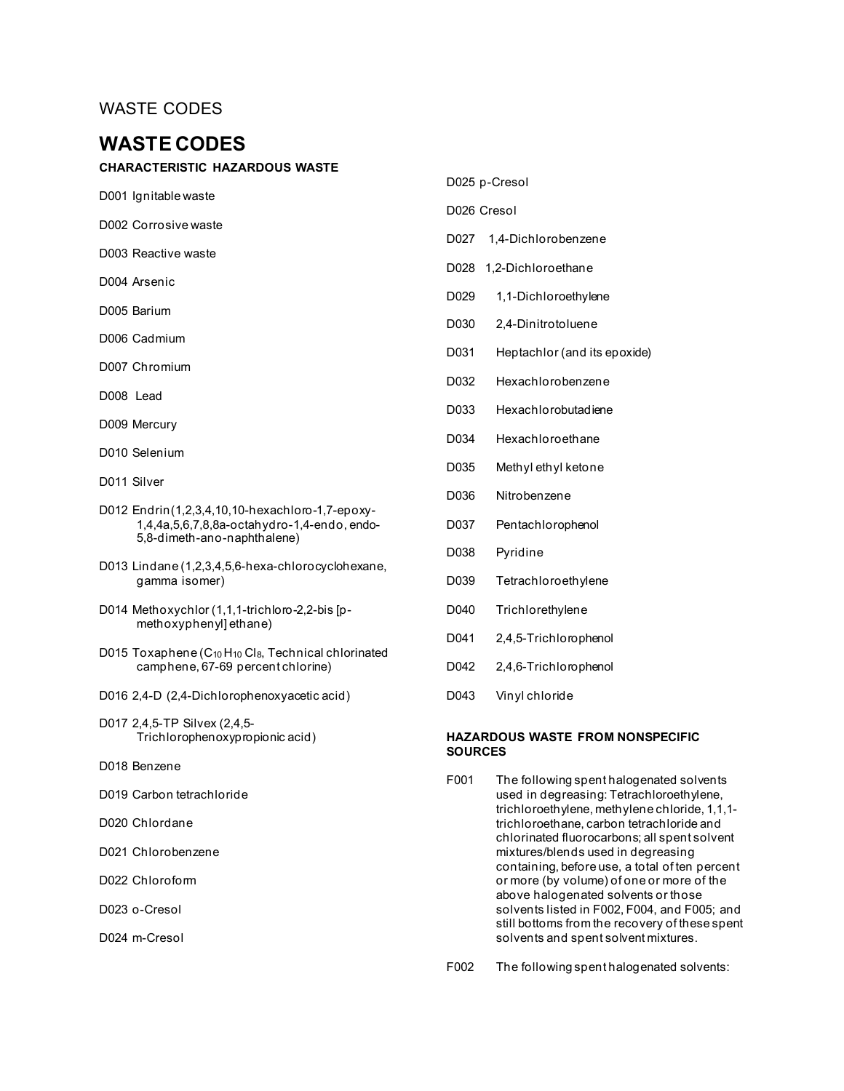# **WASTE CODES**

#### **CHARACTERISTIC HAZARDOUS WASTE**

- D001 Ignitable waste
- D002 Corrosive waste
- D003 Reactive waste
- D004 Arsenic
- D005 Barium
- D006 Cadmium
- D007 Chromium
- D008 Lead
- D009 Mercury
- D010 Selenium
- D011 Silver
- D012 Endrin(1,2,3,4,10,10-hexachloro-1,7-epoxy-1,4,4a,5,6,7,8,8a-octahydro-1,4-endo, endo-5,8-dimeth-ano-naphthalene)
- D013 Lindane (1,2,3,4,5,6-hexa-chlorocyclohexane, gamma isomer)
- D014 Methoxychlor (1,1,1-trichloro-2,2-bis [pmethoxyphenyl] ethane)
- D015 Toxaphene  $(C_{10}H_{10}Cl_8$ , Technical chlorinated camphene, 67-69 percent chlorine)
- D016 2,4-D (2,4-Dichlorophenoxyacetic acid)
- D017 2,4,5-TP Silvex (2,4,5- Trichlorophenoxypropionic acid)
- D018 Benzene
- D019 Carbon tetrachloride
- D020 Chlordane
- D021 Chlorobenzene
- D022 Chloroform
- D023 o-Cresol
- D024 m-Cresol

#### D025 p-Cresol

#### D026 Cresol

- D027 1,4-Dichlorobenzene
- D028 1,2-Dichloroethane
- D029 1,1-Dichloroethylene
- D030 2,4-Dinitrotoluene
- D031 Heptachlor (and its epoxide)
- D032 Hexachlorobenzene
- D033 Hexachlorobutadiene
- D034 Hexachloroethane
- D035 Methyl ethyl ketone
- D036 Nitrobenzene
- D037 Pentachlorophenol
- D038 Pyridine
- D039 Tetrachloroethylene
- D040 Trichlorethylene
- D041 2,4,5-Trichlorophenol
- D042 2,4,6-Trichlorophenol
- D043 Vinyl chloride

#### **HAZARDOUS WASTE FROM NONSPECIFIC SOURCES**

- F001 The following spent halogenated solvents used in degreasing: Tetrachloroethylene, trichloroethylene, methylene chloride, 1,1,1 trichloroethane, carbon tetrachloride and chlorinated fluorocarbons; all spent solvent mixtures/blends used in degreasing containing, before use, a total of ten percent or more (by volume) of one or more of the above halogenated solvents or those solvents listed in F002, F004, and F005; and still bottoms from the recovery of these spent solvents and spent solvent mixtures.
- F002 The following spent halogenated solvents: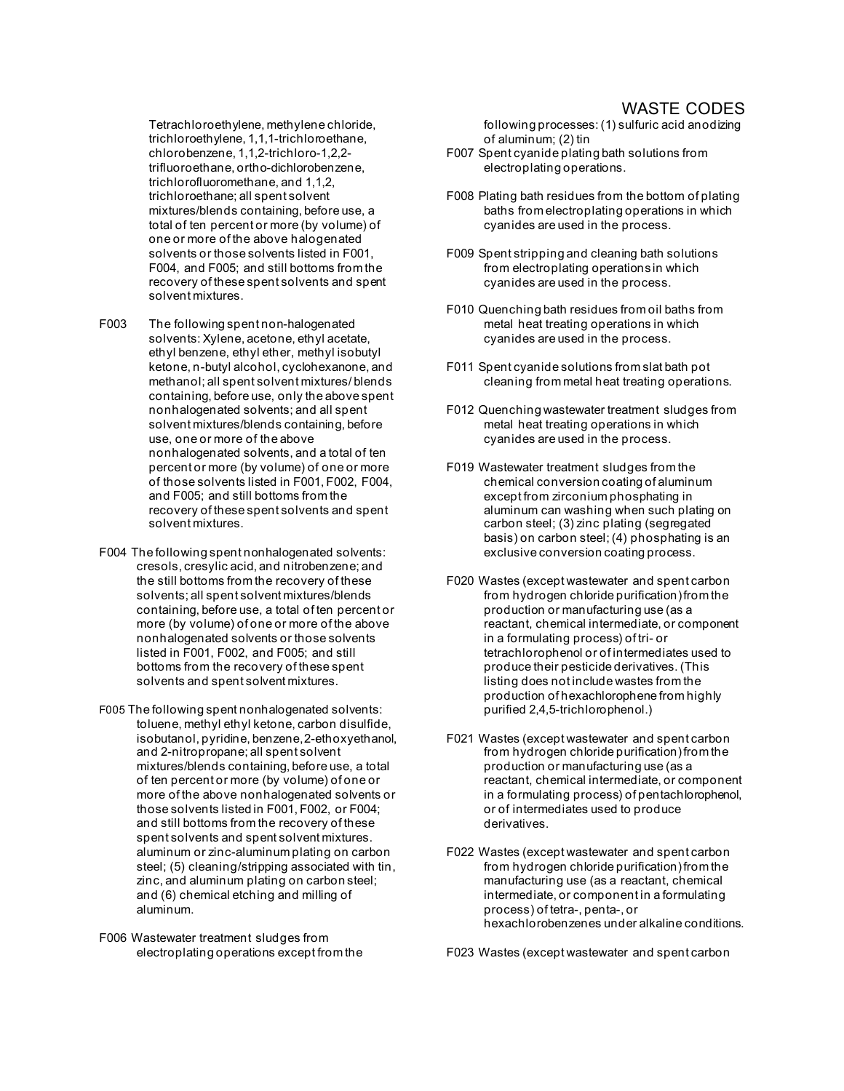Tetrachloroethylene, methylene chloride, trichloroethylene, 1,1,1-trichloroethane, chlorobenzene, 1,1,2-trichloro-1,2,2 trifluoroethane, ortho-dichlorobenzene, trichlorofluoromethane, and 1,1,2, trichloroethane; all spent solvent mixtures/blends containing, before use, a total of ten percent or more (by volume) of one or more of the above halogenated solvents or those solvents listed in F001, F004, and F005; and still bottoms from the recovery of these spent solvents and spent solvent mixtures.

- F003 The following spent non-halogenated solvents: Xylene, acetone, ethyl acetate, ethyl benzene, ethyl ether, methyl isobutyl ketone, n-butyl alcohol, cyclohexanone, and methanol; all spent solvent mixtures/ blends containing, before use, only the above spent nonhalogenated solvents; and all spent solvent mixtures/blends containing, before use, one or more of the above nonhalogenated solvents, and a total of ten percent or more (by volume) of one or more of those solvents listed in F001, F002, F004, and F005; and still bottoms from the recovery of these spent solvents and spent solvent mixtures.
- F004 The following spent nonhalogenated solvents: cresols, cresylic acid, and nitrobenzene; and the still bottoms from the recovery of these solvents; all spent solvent mixtures/blends containing, before use, a total of ten percent or more (by volume) of one or more of the above nonhalogenated solvents or those solvents listed in F001, F002, and F005; and still bottoms from the recovery of these spent solvents and spent solvent mixtures.
- F005 The following spent nonhalogenated solvents: toluene, methyl ethyl ketone, carbon disulfide, isobutanol, pyridine, benzene,2-ethoxyethanol, and 2-nitropropane; all spent solvent mixtures/blends containing, before use, a total of ten percent or more (by volume) of one or more of the above nonhalogenated solvents or those solvents listed in F001, F002, or F004; and still bottoms from the recovery of these spent solvents and spent solvent mixtures. aluminum or zinc-aluminum plating on carbon steel; (5) cleaning/stripping associated with tin, zinc, and aluminum plating on carbon steel; and (6) chemical etching and milling of aluminum.
- F006 Wastewater treatment sludges from electroplating operations except from the

following processes: (1) sulfuric acid anodizing of aluminum; (2) tin

- F007 Spent cyanide plating bath solutions from electroplating operations.
- F008 Plating bath residues from the bottom of plating baths from electroplating operations in which cyanides are used in the process.
- F009 Spent stripping and cleaning bath solutions from electroplating operations in which cyanides are used in the process.
- F010 Quenching bath residues from oil baths from metal heat treating operations in which cyanides are used in the process.
- F011 Spent cyanide solutions from slat bath pot cleaning from metal heat treating operations.
- F012 Quenching wastewater treatment sludges from metal heat treating operations in which cyanides are used in the process.
- F019 Wastewater treatment sludges from the chemical conversion coating of aluminum except from zirconium phosphating in aluminum can washing when such plating on carbon steel; (3) zinc plating (segregated basis) on carbon steel; (4) phosphating is an exclusive conversion coating process.
- F020 Wastes (except wastewater and spent carbon from hydrogen chloride purification) from the production or manufacturing use (as a reactant, chemical intermediate, or component in a formulating process) of tri- or tetrachlorophenol or of intermediates used to produce their pesticide derivatives. (This listing does not include wastes from the production of hexachlorophene from highly purified 2,4,5-trichlorophenol.)
- F021 Wastes (except wastewater and spent carbon from hydrogen chloride purification) from the production or manufacturing use (as a reactant, chemical intermediate, or component in a formulating process) of pentachlorophenol, or of intermediates used to produce derivatives.
- F022 Wastes (except wastewater and spent carbon from hydrogen chloride purification) from the manufacturing use (as a reactant, chemical intermediate, or component in a formulating process) of tetra-, penta-, or hexachlorobenzenes under alkaline conditions.
- F023 Wastes (except wastewater and spent carbon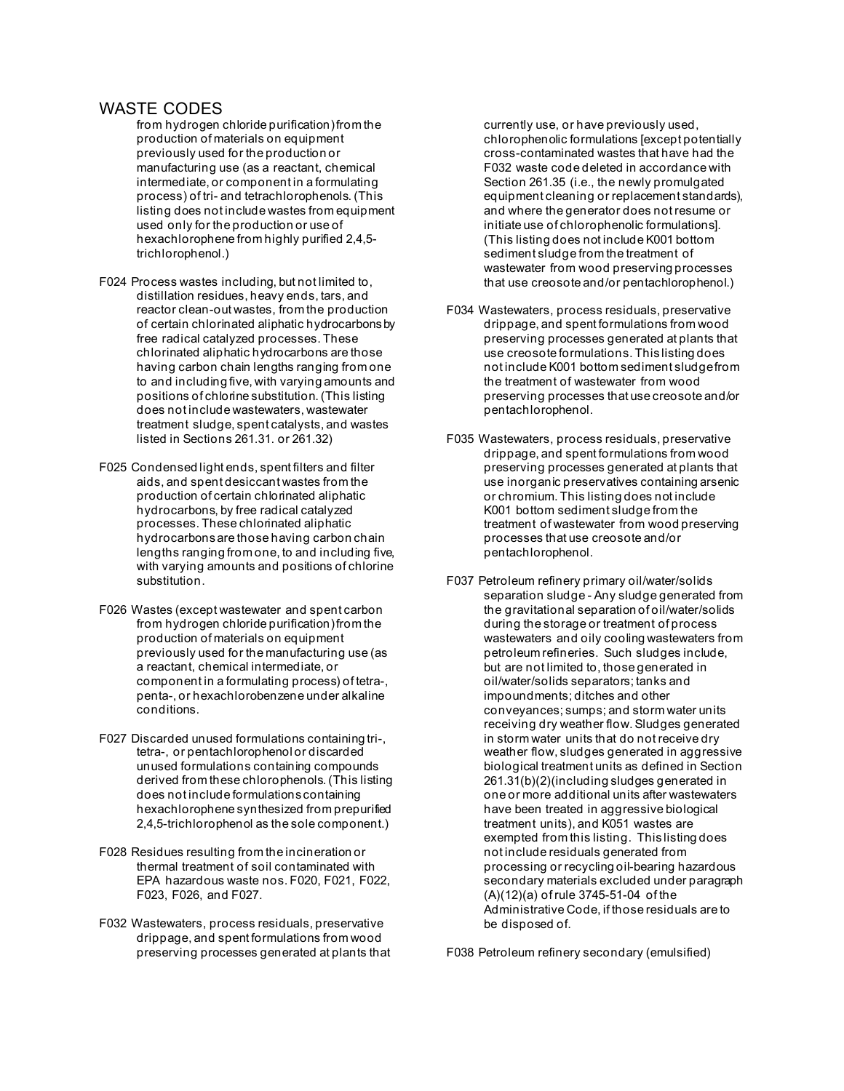- from hydrogen chloride purification) from the production of materials on equipment previously used for the production or manufacturing use (as a reactant, chemical intermediate, or component in a formulating process) of tri- and tetrachlorophenols. (This listing does not include wastes from equipment used only for the production or use of hexachlorophene from highly purified 2,4,5 trichlorophenol.)
- F024 Process wastes including, but not limited to, distillation residues, heavy ends, tars, and reactor clean-out wastes, from the production of certain chlorinated aliphatic hydrocarbons by free radical catalyzed processes. These chlorinated aliphatic hydrocarbons are those having carbon chain lengths ranging from one to and including five, with varying amounts and positions of chlorine substitution. (This listing does not include wastewaters, wastewater treatment sludge, spent catalysts, and wastes listed in Sections 261.31. or 261.32)
- F025 Condensed light ends, spent filters and filter aids, and spent desiccant wastes from the production of certain chlorinated aliphatic hydrocarbons, by free radical catalyzed processes. These chlorinated aliphatic hydrocarbons are those having carbon chain lengths ranging from one, to and including five, with varying amounts and positions of chlorine substitution.
- F026 Wastes (except wastewater and spent carbon from hydrogen chloride purification) from the production of materials on equipment previously used for the manufacturing use (as a reactant, chemical intermediate, or component in a formulating process) of tetra-, penta-, or hexachlorobenzene under alkaline conditions.
- F027 Discarded unused formulations containing tri-, tetra-, or pentachlorophenol or discarded unused formulations containing compounds derived from these chlorophenols. (This listing does not include formulations containing hexachlorophene synthesized from prepurified 2,4,5-trichlorophenol as the sole component.)
- F028 Residues resulting from the incineration or thermal treatment of soil contaminated with EPA hazardous waste nos. F020, F021, F022, F023, F026, and F027.
- F032 Wastewaters, process residuals, preservative drippage, and spent formulations from wood preserving processes generated at plants that

currently use, or have previously used, chlorophenolic formulations [except potentially cross-contaminated wastes that have had the F032 waste code deleted in accordance with Section 261.35 (i.e., the newly promulgated equipment cleaning or replacement standards), and where the generator does not resume or initiate use of chlorophenolic formulations]. (This listing does not include K001 bottom sediment sludge from the treatment of wastewater from wood preserving processes that use creosote and/or pentachlorophenol.)

- F034 Wastewaters, process residuals, preservative drippage, and spent formulations from wood preserving processes generated at plants that use creosote formulations. This listing does not include K001 bottom sediment sludgefrom the treatment of wastewater from wood preserving processes that use creosote and/or pentachlorophenol.
- F035 Wastewaters, process residuals, preservative drippage, and spent formulations from wood preserving processes generated at plants that use inorganic preservatives containing arsenic or chromium. This listing does not include K001 bottom sediment sludge from the treatment of wastewater from wood preserving processes that use creosote and/or pentachlorophenol.
- F037 Petroleum refinery primary oil/water/solids separation sludge - Any sludge generated from the gravitational separation of oil/water/solids during the storage or treatment of process wastewaters and oily cooling wastewaters from petroleum refineries. Such sludges include, but are not limited to, those generated in oil/water/solids separators; tanks and impoundments; ditches and other conveyances; sumps; and storm water units receiving dry weather flow. Sludges generated in storm water units that do not receive dry weather flow, sludges generated in aggressive biological treatment units as defined in Section 261.31(b)(2)(including sludges generated in one or more additional units after wastewaters have been treated in aggressive biological treatment units), and K051 wastes are exempted from this listing. This listing does not include residuals generated from processing or recycling oil-bearing hazardous secondary materials excluded under paragraph (A)(12)(a) of rule 3745-51-04 of the Administrative Code, if those residuals are to be disposed of.

F038 Petroleum refinery secondary (emulsified)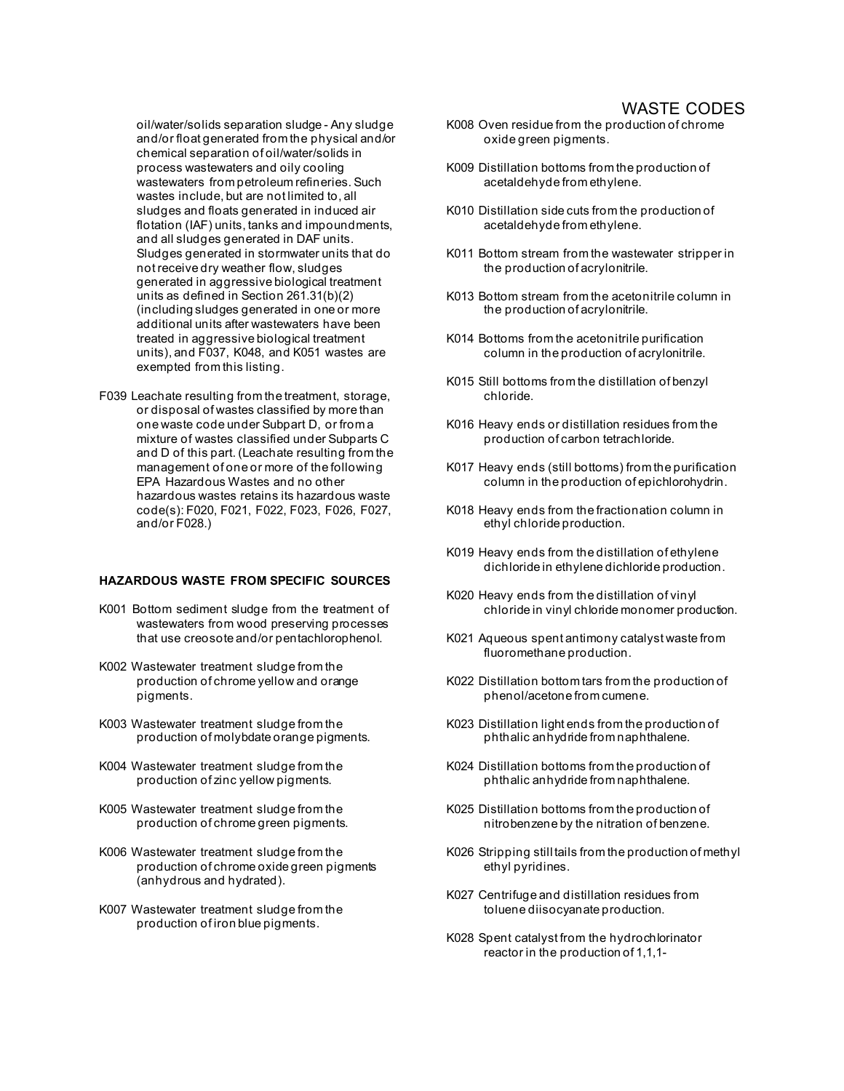oil/water/solids separation sludge - Any sludge and/or float generated from the physical and/or chemical separation of oil/water/solids in process wastewaters and oily cooling wastewaters from petroleum refineries. Such wastes include, but are not limited to, all sludges and floats generated in induced air flotation (IAF) units, tanks and impoundments, and all sludges generated in DAF units. Sludges generated in stormwater units that do not receive dry weather flow, sludges generated in aggressive biological treatment units as defined in Section 261.31(b)(2) (including sludges generated in one or more additional units after wastewaters have been treated in aggressive biological treatment units), and F037, K048, and K051 wastes are exempted from this listing.

F039 Leachate resulting from the treatment, storage, or disposal of wastes classified by more than one waste code under Subpart D, or from a mixture of wastes classified under Subparts C and D of this part. (Leachate resulting from the management of one or more of the following EPA Hazardous Wastes and no other hazardous wastes retains its hazardous waste code(s): F020, F021, F022, F023, F026, F027, and/or F028.)

#### **HAZARDOUS WASTE FROM SPECIFIC SOURCES**

- K001 Bottom sediment sludge from the treatment of wastewaters from wood preserving processes that use creosote and/or pentachlorophenol.
- K002 Wastewater treatment sludge from the production of chrome yellow and orange pigments.
- K003 Wastewater treatment sludge from the production of molybdate orange pigments.
- K004 Wastewater treatment sludge from the production of zinc yellow pigments.
- K005 Wastewater treatment sludge from the production of chrome green pigments.
- K006 Wastewater treatment sludge from the production of chrome oxide green pigments (anhydrous and hydrated).
- K007 Wastewater treatment sludge from the production of iron blue pigments.
- K008 Oven residue from the production of chrome oxide green pigments.
- K009 Distillation bottoms from the production of acetaldehyde from ethylene.
- K010 Distillation side cuts from the production of acetaldehyde from ethylene.
- K011 Bottom stream from the wastewater stripper in the production of acrylonitrile.
- K013 Bottom stream from the acetonitrile column in the production of acrylonitrile.
- K014 Bottoms from the acetonitrile purification column in the production of acrylonitrile.
- K015 Still bottoms from the distillation of benzyl chloride.
- K016 Heavy ends or distillation residues from the production of carbon tetrachloride.
- K017 Heavy ends (still bottoms) from the purification column in the production of epichlorohydrin.
- K018 Heavy ends from the fractionation column in ethyl chloride production.
- K019 Heavy ends from the distillation of ethylene dichloride in ethylene dichloride production.
- K020 Heavy ends from the distillation of vinyl chloride in vinyl chloride monomer production.
- K021 Aqueous spent antimony catalyst waste from fluoromethane production.
- K022 Distillation bottom tars from the production of phenol/acetone from cumene.
- K023 Distillation light ends from the production of phthalic anhydride from naphthalene.
- K024 Distillation bottoms from the production of phthalic anhydride from naphthalene.
- K025 Distillation bottoms from the production of nitrobenzene by the nitration of benzene.
- K026 Stripping still tails from the production of methyl ethyl pyridines.
- K027 Centrifuge and distillation residues from toluene diisocyanate production.
- K028 Spent catalyst from the hydrochlorinator reactor in the production of 1,1,1-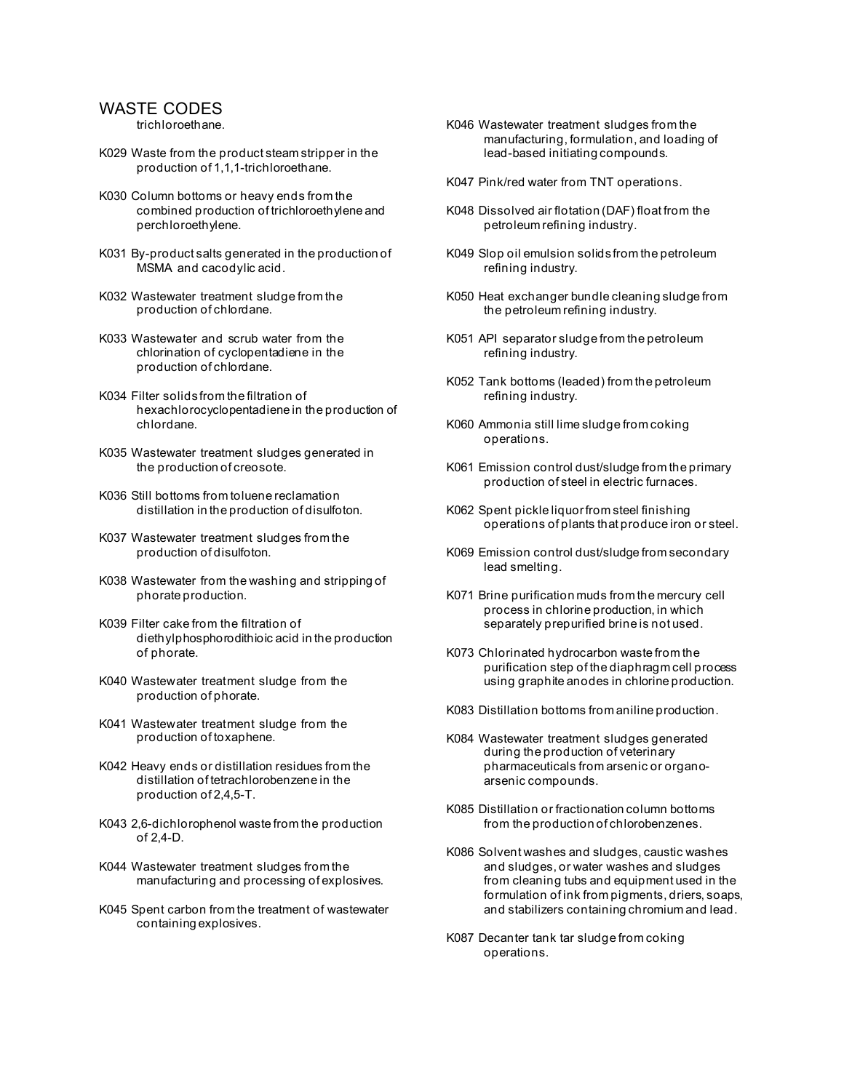trichloroethane.

- K029 Waste from the product steam stripper in the production of 1,1,1-trichloroethane.
- K030 Column bottoms or heavy ends from the combined production of trichloroethylene and perchloroethylene.
- K031 By-product salts generated in the production of MSMA and cacodylic acid.
- K032 Wastewater treatment sludge from the production of chlordane.
- K033 Wastewater and scrub water from the chlorination of cyclopentadiene in the production of chlordane.
- K034 Filter solids from the filtration of hexachlorocyclopentadiene in the production of chlordane.
- K035 Wastewater treatment sludges generated in the production of creosote.
- K036 Still bottoms from toluene reclamation distillation in the production of disulfoton.
- K037 Wastewater treatment sludges from the production of disulfoton.
- K038 Wastewater from the washing and stripping of phorate production.
- K039 Filter cake from the filtration of diethylphosphorodithioic acid in the production of phorate.
- K040 Wastewater treatment sludge from the production of phorate.
- K041 Wastewater treatment sludge from the production of toxaphene.
- K042 Heavy ends or distillation residues from the distillation of tetrachlorobenzene in the production of 2,4,5-T.
- K043 2,6-dichlorophenol waste from the production of  $2,4$ -D.
- K044 Wastewater treatment sludges from the manufacturing and processing of explosives.
- K045 Spent carbon from the treatment of wastewater containing explosives.
- K046 Wastewater treatment sludges from the manufacturing, formulation, and loading of lead-based initiating compounds.
- K047 Pink/red water from TNT operations.
- K048 Dissolved air flotation (DAF) float from the petroleum refining industry.
- K049 Slop oil emulsion solids from the petroleum refining industry.
- K050 Heat exchanger bundle cleaning sludge from the petroleum refining industry.
- K051 API separator sludge from the petroleum refining industry.
- K052 Tank bottoms (leaded) from the petroleum refining industry.
- K060 Ammonia still lime sludge from coking operations.
- K061 Emission control dust/sludge from the primary production of steel in electric furnaces.
- K062 Spent pickle liquor from steel finishing operations of plants that produce iron or steel.
- K069 Emission control dust/sludge from secondary lead smelting.
- K071 Brine purification muds from the mercury cell process in chlorine production, in which separately prepurified brine is not used.
- K073 Chlorinated hydrocarbon waste from the purification step of the diaphragm cell process using graphite anodes in chlorine production.
- K083 Distillation bottoms from aniline production.
- K084 Wastewater treatment sludges generated during the production of veterinary pharmaceuticals from arsenic or organoarsenic compounds.
- K085 Distillation or fractionation column bottoms from the production of chlorobenzenes.
- K086 Solvent washes and sludges, caustic washes and sludges, or water washes and sludges from cleaning tubs and equipment used in the formulation of ink from pigments, driers, soaps, and stabilizers containing chromium and lead.
- K087 Decanter tank tar sludge from coking operations.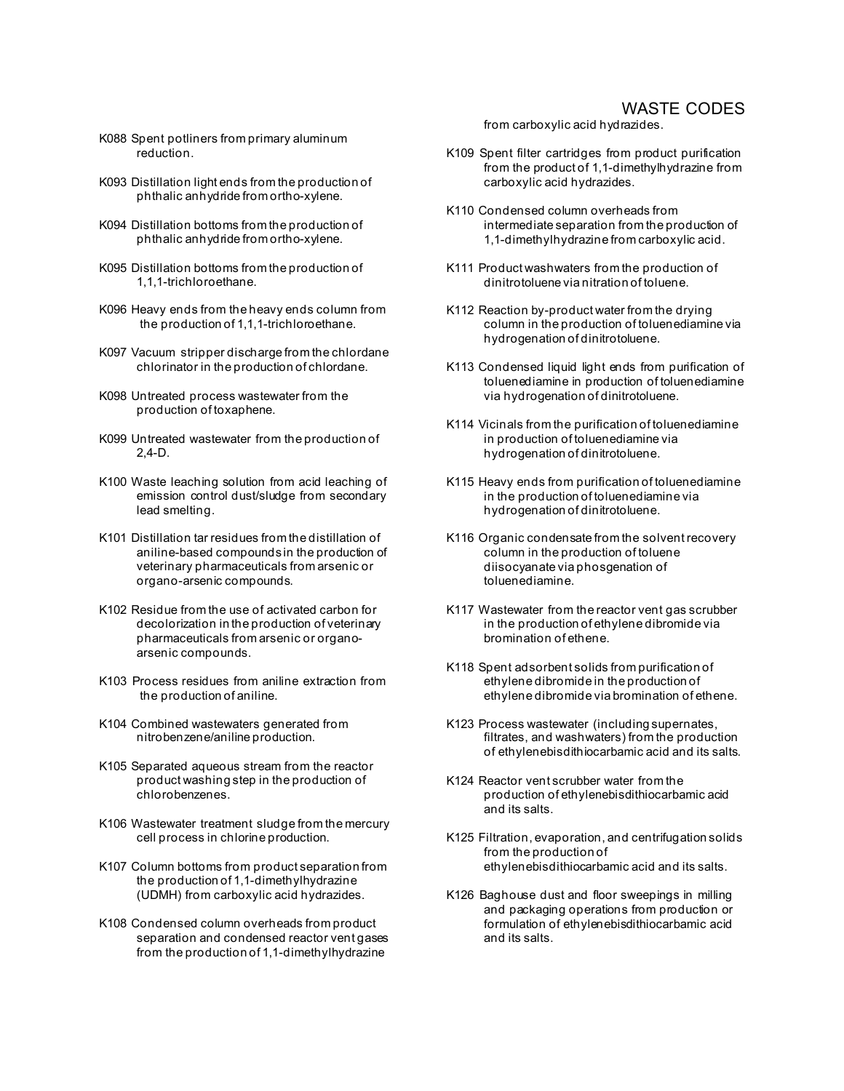- K088 Spent potliners from primary aluminum reduction.
- K093 Distillation light ends from the production of phthalic anhydride from ortho-xylene.
- K094 Distillation bottoms from the production of phthalic anhydride from ortho-xylene.
- K095 Distillation bottoms from the production of 1,1,1-trichloroethane.
- K096 Heavy ends from the heavy ends column from the production of 1,1,1-trichloroethane.
- K097 Vacuum stripper discharge from the chlordane chlorinator in the production of chlordane.
- K098 Untreated process wastewater from the production of toxaphene.
- K099 Untreated wastewater from the production of 2,4-D.
- K100 Waste leaching solution from acid leaching of emission control dust/sludge from secondary lead smelting.
- K101 Distillation tar residues from the distillation of aniline-based compounds in the production of veterinary pharmaceuticals from arsenic or organo-arsenic compounds.
- K102 Residue from the use of activated carbon for decolorization in the production of veterinary pharmaceuticals from arsenic or organoarsenic compounds.
- K103 Process residues from aniline extraction from the production of aniline.
- K104 Combined wastewaters generated from nitrobenzene/aniline production.
- K105 Separated aqueous stream from the reactor product washing step in the production of chlorobenzenes.
- K106 Wastewater treatment sludge from the mercury cell process in chlorine production.
- K107 Column bottoms from product separation from the production of 1,1-dimethylhydrazine (UDMH) from carboxylic acid hydrazides.
- K108 Condensed column overheads from product separation and condensed reactor vent gases from the production of 1,1-dimethylhydrazine

from carboxylic acid hydrazides.

- K109 Spent filter cartridges from product purification from the product of 1,1-dimethylhydrazine from carboxylic acid hydrazides.
- K110 Condensed column overheads from intermediate separation from the production of 1,1-dimethylhydrazine from carboxylic acid.
- K111 Product washwaters from the production of dinitrotoluene via nitration of toluene.
- K112 Reaction by-product water from the drying column in the production of toluenediamine via hydrogenation of dinitrotoluene.
- K113 Condensed liquid light ends from purification of toluenediamine in production of toluenediamine via hydrogenation of dinitrotoluene.
- K114 Vicinals from the purification of toluenediamine in production of toluenediamine via hydrogenation of dinitrotoluene.
- K115 Heavy ends from purification of toluenediamine in the production of toluenediamine via hydrogenation of dinitrotoluene.
- K116 Organic condensate from the solvent recovery column in the production of toluene diisocyanate via phosgenation of toluenediamine.
- K117 Wastewater from the reactor vent gas scrubber in the production of ethylene dibromide via bromination of ethene.
- K118 Spent adsorbent solids from purification of ethylene dibromide in the production of ethylene dibromide via bromination of ethene.
- K123 Process wastewater (including supernates, filtrates, and washwaters) from the production of ethylenebisdithiocarbamic acid and its salts.
- K124 Reactor vent scrubber water from the production of ethylenebisdithiocarbamic acid and its salts.
- K125 Filtration, evaporation, and centrifugation solids from the production of ethylenebisdithiocarbamic acid and its salts.
- K126 Baghouse dust and floor sweepings in milling and packaging operations from production or formulation of ethylenebisdithiocarbamic acid and its salts.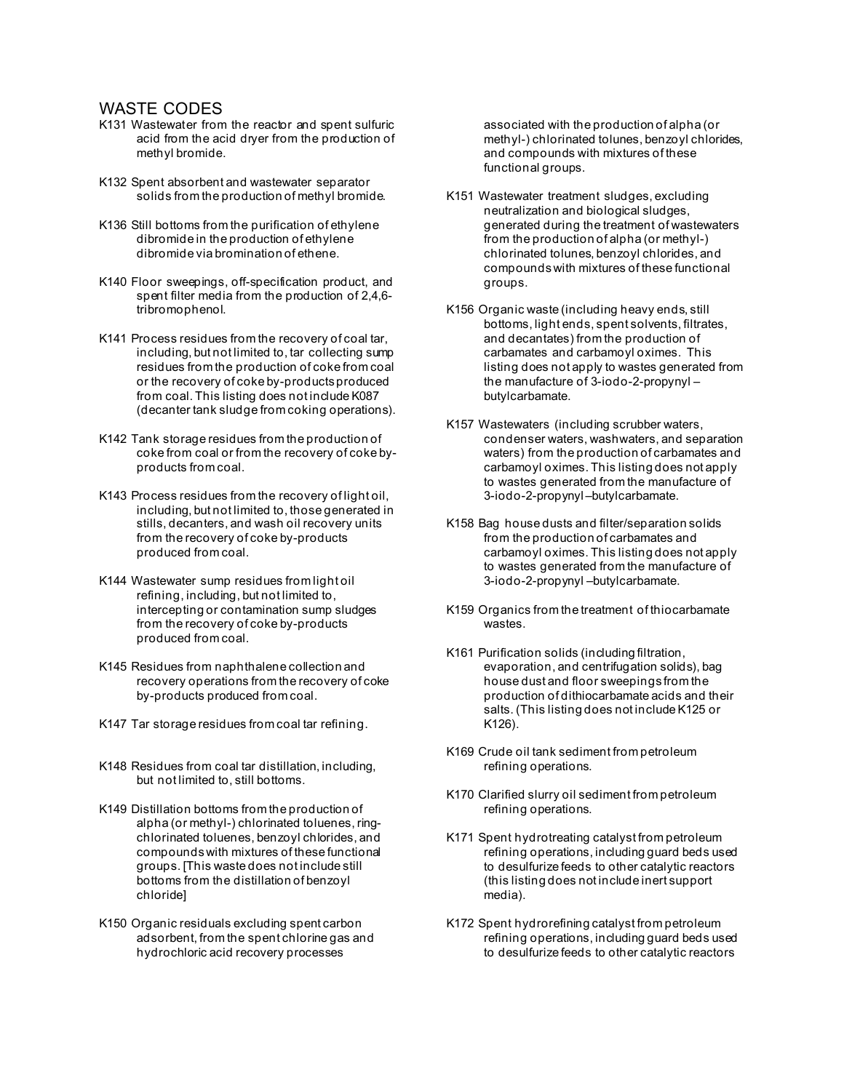- K131 Wastewater from the reactor and spent sulfuric acid from the acid dryer from the production of methyl bromide.
- K132 Spent absorbent and wastewater separator solids from the production of methyl bromide.
- K136 Still bottoms from the purification of ethylene dibromide in the production of ethylene dibromide via bromination of ethene.
- K140 Floor sweepings, off-specification product, and spent filter media from the production of 2,4,6 tribromophenol.
- K141 Process residues from the recovery of coal tar, including, but not limited to, tar collecting sump residues from the production of coke from coal or the recovery of coke by-products produced from coal. This listing does not include K087 (decanter tank sludge from coking operations).
- K142 Tank storage residues from the production of coke from coal or from the recovery of coke byproducts from coal.
- K143 Process residues from the recovery of light oil, including, but not limited to, those generated in stills, decanters, and wash oil recovery units from the recovery of coke by-products produced from coal.
- K144 Wastewater sump residues from light oil refining, including, but not limited to, intercepting or contamination sump sludges from the recovery of coke by-products produced from coal.
- K145 Residues from naphthalene collection and recovery operations from the recovery of coke by-products produced from coal.
- K147 Tar storage residues from coal tar refining.
- K148 Residues from coal tar distillation, including, but not limited to, still bottoms.
- K149 Distillation bottoms from the production of alpha (or methyl-) chlorinated toluenes, ringchlorinated toluenes, benzoyl chlorides, and compounds with mixtures of these functional groups. [This waste does not include still bottoms from the distillation of benzoyl chloride]
- K150 Organic residuals excluding spent carbon adsorbent, from the spent chlorine gas and hydrochloric acid recovery processes

associated with the production of alpha (or methyl-) chlorinated tolunes, benzoyl chlorides, and compounds with mixtures of these functional groups.

- K151 Wastewater treatment sludges, excluding neutralization and biological sludges, generated during the treatment of wastewaters from the production of alpha (or methyl-) chlorinated tolunes, benzoyl chlorides, and compounds with mixtures of these functional groups.
- K156 Organic waste (including heavy ends, still bottoms, light ends, spent solvents, filtrates, and decantates) from the production of carbamates and carbamoyl oximes. This listing does not apply to wastes generated from the manufacture of 3-iodo-2-propynyl – butylcarbamate.
- K157 Wastewaters (including scrubber waters, condenser waters, washwaters, and separation waters) from the production of carbamates and carbamoyl oximes. This listing does not apply to wastes generated from the manufacture of 3-iodo-2-propynyl –butylcarbamate.
- K158 Bag house dusts and filter/separation solids from the production of carbamates and carbamoyl oximes. This listing does not apply to wastes generated from the manufacture of 3-iodo-2-propynyl –butylcarbamate.
- K159 Organics from the treatment of thiocarbamate wastes.
- K161 Purification solids (including filtration, evaporation, and centrifugation solids), bag house dust and floor sweepings from the production of dithiocarbamate acids and their salts. (This listing does not include K125 or K126).
- K169 Crude oil tank sediment from petroleum refining operations.
- K170 Clarified slurry oil sediment from petroleum refining operations.
- K171 Spent hydrotreating catalyst from petroleum refining operations, including guard beds used to desulfurize feeds to other catalytic reactors (this listing does not include inert support media).
- K172 Spent hydrorefining catalyst from petroleum refining operations, including guard beds used to desulfurize feeds to other catalytic reactors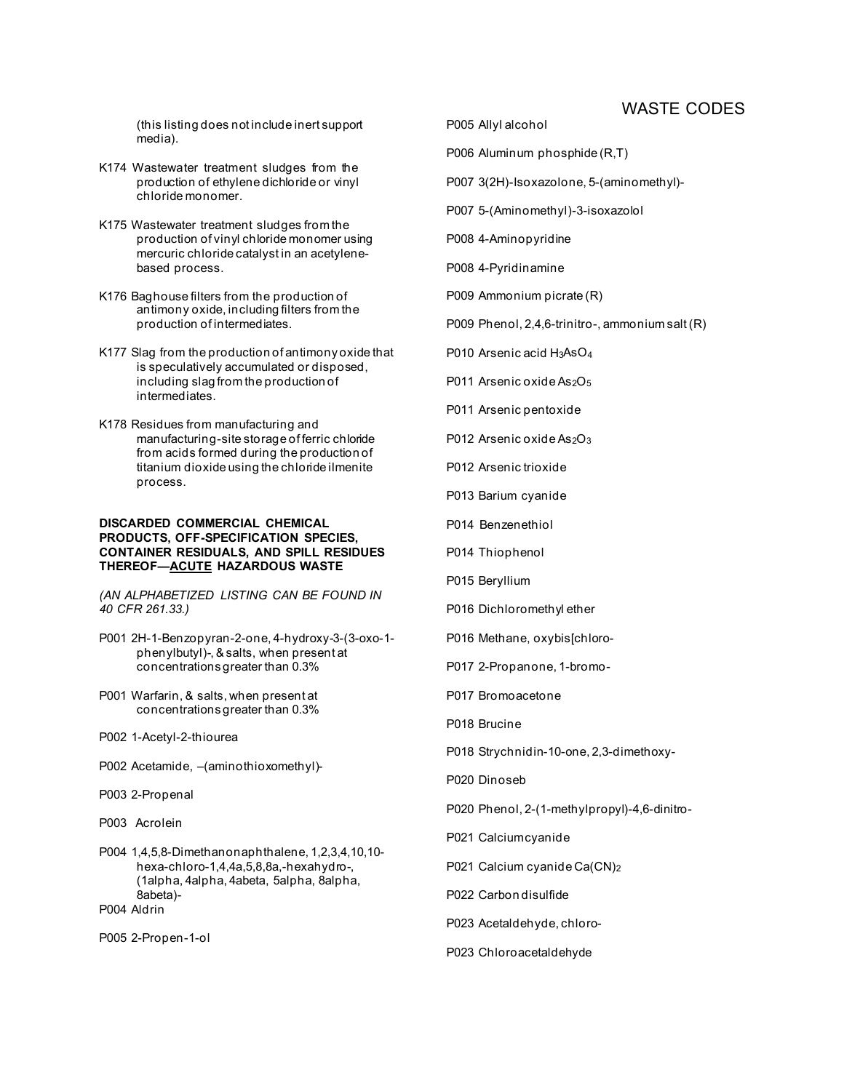(this listing does not include inert support media).

- K174 Wastewater treatment sludges from the production of ethylene dichloride or vinyl chloride monomer.
- K175 Wastewater treatment sludges from the production of vinyl chloride monomer using mercuric chloride catalyst in an acetylenebased process.
- K176 Baghouse filters from the production of antimony oxide, including filters from the production of intermediates.
- K177 Slag from the production of antimony oxide that is speculatively accumulated or disposed, including slag from the production of intermediates.
- K178 Residues from manufacturing and manufacturing-site storage of ferric chloride from acids formed during the production of titanium dioxide using the chloride ilmenite process.

#### **DISCARDED COMMERCIAL CHEMICAL PRODUCTS, OFF-SPECIFICATION SPECIES, CONTAINER RESIDUALS, AND SPILL RESIDUES THEREOF—ACUTE HAZARDOUS WASTE**

*(AN ALPHABETIZED LISTING CAN BE FOUND IN 40 CFR 261.33.)*

- P001 2H-1-Benzopyran-2-one, 4-hydroxy-3-(3-oxo-1 phenylbutyl)-, & salts, when present at concentrations greater than 0.3%
- P001 Warfarin, & salts, when present at concentrations greater than 0.3%
- P002 1-Acetyl-2-thiourea
- P002 Acetamide, –(aminothioxomethyl)-
- P003 2-Propenal
- P003 Acrolein
- P004 1,4,5,8-Dimethanonaphthalene, 1,2,3,4,10,10 hexa-chloro-1,4,4a,5,8,8a,-hexahydro-, (1alpha, 4alpha, 4abeta, 5alpha, 8alpha, 8abeta)- P004 Aldrin
- P005 2-Propen-1-ol
- P005 Allyl alcohol
- P006 Aluminum phosphide (R,T)
- P007 3(2H)-Isoxazolone, 5-(aminomethyl)-
- P007 5-(Aminomethyl)-3-isoxazolol
- P008 4-Aminopyridine
- P008 4-Pyridinamine
- P009 Ammonium picrate (R)
- P009 Phenol, 2,4,6-trinitro-, ammonium salt (R)
- P010 Arsenic acid H3AsO<sub>4</sub>
- P011 Arsenic oxide As<sub>2</sub>O<sub>5</sub>
- P011 Arsenic pentoxide
- P012 Arsenic oxide As<sub>2</sub>O<sub>3</sub>
- P012 Arsenic trioxide
- P013 Barium cyanide
- P014 Benzenethiol
- P014 Thiophenol
- P015 Beryllium
- P016 Dichloromethyl ether
- P016 Methane, oxybis[chloro-
- P017 2-Propanone, 1-bromo-
- P017 Bromoacetone
- P018 Brucine
- P018 Strychnidin-10-one, 2,3-dimethoxy-
- P020 Dinoseb
- P020 Phenol, 2-(1-methylpropyl)-4,6-dinitro-
- P021 Calciumcyanide
- P021 Calcium cyanide Ca(CN)2
- P022 Carbon disulfide
- P023 Acetaldehyde, chloro-
- P023 Chloroacetaldehyde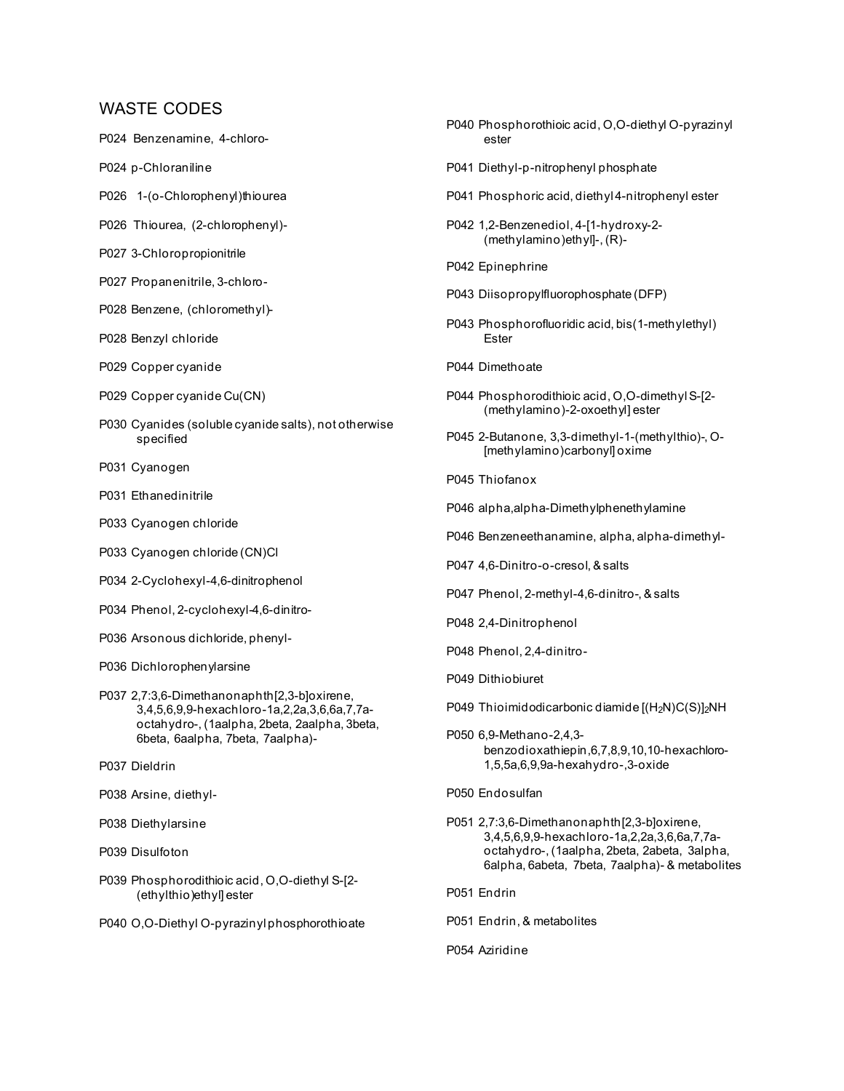- P024 Benzenamine, 4-chloro-
- P024 p-Chloraniline
- P026 1-(o-Chlorophenyl)thiourea
- P026 Thiourea, (2-chlorophenyl)-
- P027 3-Chloropropionitrile
- P027 Propanenitrile, 3-chloro-
- P028 Benzene, (chloromethyl)-
- P028 Benzyl chloride
- P029 Copper cyanide
- P029 Copper cyanide Cu(CN)
- P030 Cyanides (soluble cyanide salts), not otherwise specified
- P031 Cyanogen
- P031 Ethanedinitrile
- P033 Cyanogen chloride
- P033 Cyanogen chloride (CN)Cl
- P034 2-Cyclohexyl-4,6-dinitrophenol
- P034 Phenol, 2-cyclohexyl-4,6-dinitro-
- P036 Arsonous dichloride, phenyl-
- P036 Dichlorophenylarsine
- P037 2,7:3,6-Dimethanonaphth[2,3-b]oxirene, 3,4,5,6,9,9-hexachloro-1a,2,2a,3,6,6a,7,7aoctahydro-, (1aalpha, 2beta, 2aalpha, 3beta, 6beta, 6aalpha, 7beta, 7aalpha)-
- P037 Dieldrin
- P038 Arsine, diethyl-
- P038 Diethylarsine
- P039 Disulfoton
- P039 Phosphorodithioic acid, O,O-diethyl S-[2- (ethylthio)ethyl] ester
- P040 O,O-Diethyl O-pyrazinyl phosphorothioate
- P040 Phosphorothioic acid, O,O-diethyl O-pyrazinyl ester P041 Diethyl-p-nitrophenyl phosphate P041 Phosphoric acid, diethyl 4-nitrophenyl ester P042 1,2-Benzenediol, 4-[1-hydroxy-2- (methylamino)ethyl]-, (R)- P042 Epinephrine P043 Diisopropylfluorophosphate (DFP) P043 Phosphorofluoridic acid, bis(1-methylethyl) Ester P044 Dimethoate P044 Phosphorodithioic acid, O,O-dimethyl S-[2- (methylamino)-2-oxoethyl] ester P045 2-Butanone, 3,3-dimethyl-1-(methylthio)-, O- [methylamino)carbonyl] oxime P045 Thiofanox P046 alpha,alpha-Dimethylphenethylamine P046 Benzeneethanamine, alpha, alpha-dimethyl-P047 4,6-Dinitro-o-cresol, & salts P047 Phenol, 2-methyl-4,6-dinitro-, & salts P048 2,4-Dinitrophenol P048 Phenol, 2,4-dinitro-P049 Dithiobiuret P049 Thioimidodicarbonic diamide [(H<sub>2</sub>N)C(S)]<sub>2</sub>NH P050 6,9-Methano-2,4,3 benzodioxathiepin,6,7,8,9,10,10-hexachloro-1,5,5a,6,9,9a-hexahydro-,3-oxide P050 Endosulfan P051 2,7:3,6-Dimethanonaphth[2,3-b]oxirene, 3,4,5,6,9,9-hexachloro-1a,2,2a,3,6,6a,7,7aoctahydro-, (1aalpha, 2beta, 2abeta, 3alpha, 6alpha, 6abeta, 7beta, 7aalpha)- & metabolites P051 Endrin
- P051 Endrin, & metabolites
- P054 Aziridine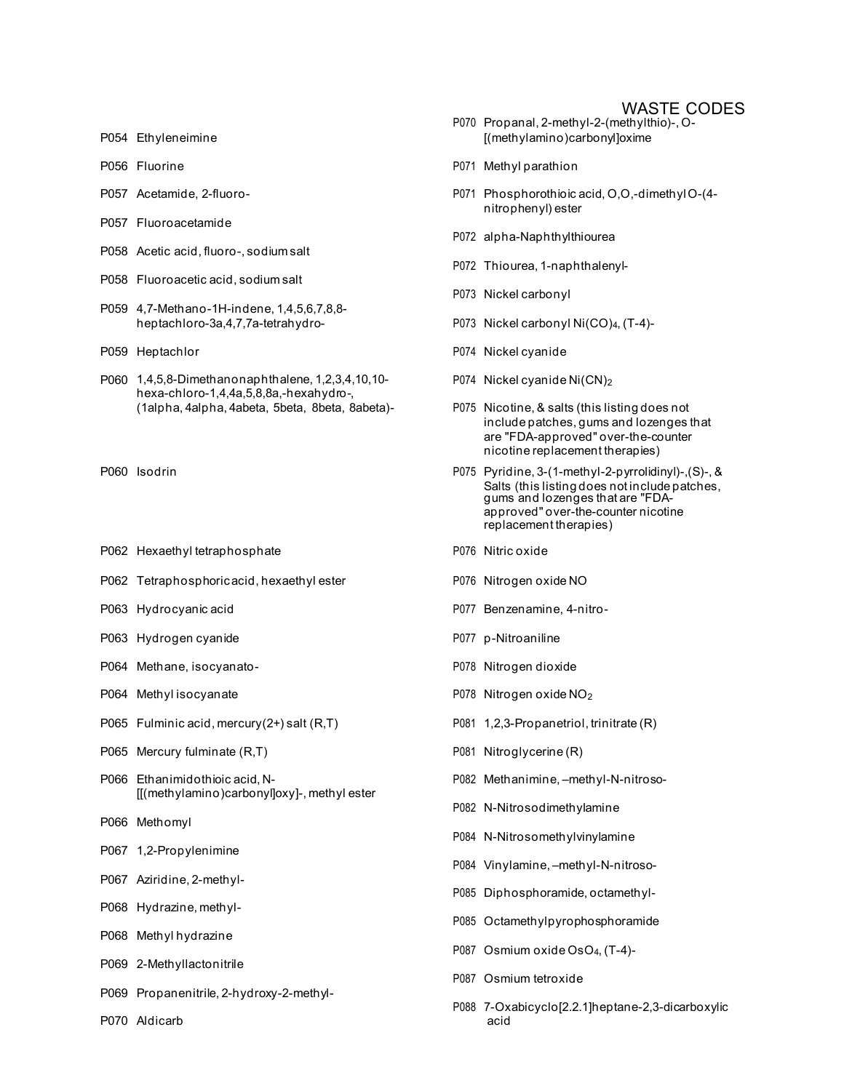- 
- 
- 
- P057 Fluoroacetamide
- P058 Acetic acid, fluoro-, sodium salt
- P058 Fluoroacetic acid, sodium salt
- P059 4,7-Methano-1H-indene, 1,4,5,6,7,8,8 heptachloro-3a,4,7,7a-tetrahydro- P073 Nickel carbonyl Ni(CO)<sub>4</sub>, (T-4)-
- 
- P060 1,4,5,8-Dimethanonaphthalene, 1,2,3,4,10,10 hexa-chloro-1,4,4a,5,8,8a,-hexahydro-, (1alpha, 4alpha, 4abeta, 5beta, 8beta, 8abeta)- P075 Nicotine, & salts (this listing does not
- 
- P062 Hexaethyl tetraphosphate **P076** Nitric oxide
- P062 Tetraphosphoric acid, hexaethyl ester P076 Nitrogen oxide NO
- 
- P063 Hydrogen cyanide **P077** p-Nitroaniline
- P064 Methane, isocyanato- P078 Nitrogen dioxide
- 
- P065 Fulminic acid, mercury(2+) salt (R,T) P081 1,2,3-Propanetriol, trinitrate (R)
- P065 Mercury fulminate (R,T) P065 Mercury fulminate (R,T)
- P066 Ethanimidothioic acid, N- P082 Methanimine, –methyl-N-nitroso- [[(methylamino)carbonyl]oxy]-, methyl ester
- P066 Methomyl
- P067 1,2-Propylenimine
- P067 Aziridine, 2-methyl-
- P068 Hydrazine, methyl-
- P068 Methyl hydrazine
- P069 2-Methyllactonitrile
- P069 Propanenitrile, 2-hydroxy-2-methyl-
- P070 Aldicarb acid
- P070 Propanal, 2-methyl-2-(methylthio)-, O-P054 Ethyleneimine **[**(methylamino)carbonyl]oxime
- P056 Fluorine **P056** P071 Methyl parathion
- P057 Acetamide, 2-fluoro- P071 Phosphorothioic acid, O,O,-dimethyl O-(4 nitrophenyl) ester
	- P072 alpha-Naphthylthiourea
	- P072 Thiourea, 1-naphthalenyl-
	- P073 Nickel carbonyl
	-
- P059 Heptachlor **P074** Nickel cyanide
	- P074 Nickel cyanide Ni(CN)2
	- include patches, gums and lozenges that are "FDA-approved" over-the-counter nicotine replacement therapies)
- P060 Isodrin P075 Pyridine, 3-(1-methyl-2-pyrrolidinyl)-,(S)-, & Salts (this listing does not include patches, gums and lozenges that are "FDAapproved" over-the-counter nicotine replacement therapies)
	-
	-
- P063 Hydrocyanic acid P077 Benzenamine, 4-nitro-
	-
	-
- P064 Methyl isocyanate **P078** Nitrogen oxide NO<sub>2</sub>
	-
	-
	-
	- P082 N-Nitrosodimethylamine
	- P084 N-Nitrosomethylvinylamine
	- P084 Vinylamine, –methyl-N-nitroso-
	- P085 Diphosphoramide, octamethyl-
	- P085 Octamethylpyrophosphoramide
	- P087 Osmium oxide OsO4, (T-4)-
	- P087 Osmium tetroxide
	- P088 7-Oxabicyclo[2.2.1]heptane-2,3-dicarboxylic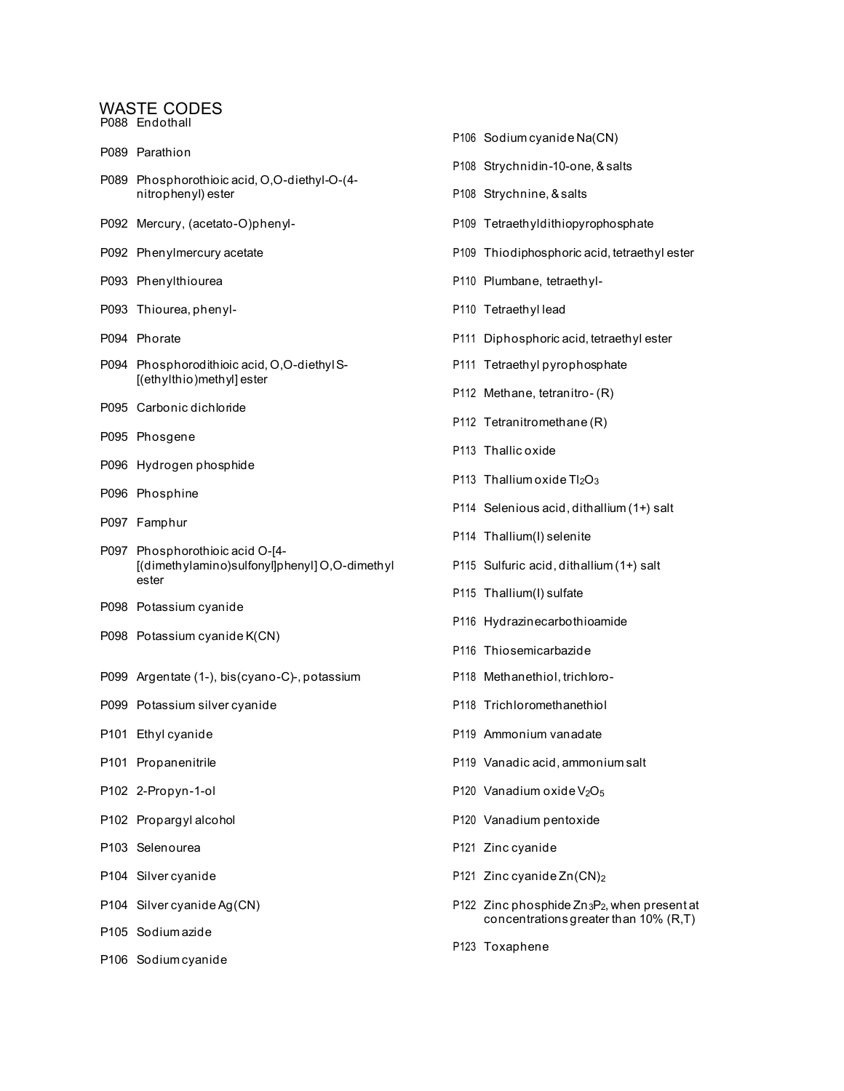P088 Endothall P089 Parathion

- P089 Phosphorothioic acid, O,O-diethyl-O-(4-
- 
- 
- 
- P093 Thiourea, phenyl-<br>
P093 Thiourea, phenyl-<br>
P110 Tetraethyl lead
- 
- P094 Phosphorodithioic acid, O,O-diethyl S- P111 Tetraethyl pyrophosphate [(ethylthio)methyl] ester
- P095 Carbonic dichloride
- P095 Phosgene
- P096 Hydrogen phosphide
- P096 Phosphine
- P097 Famphur
- P097 Phosphorothioic acid O-[4- [(dimethylamino)sulfonyl]phenyl] O,O-dimethyl P115 Sulfuric acid, dithallium (1+) salt ester
- P098 Potassium cyanide
- P098 Potassium cyanide K(CN)
- P099 Argentate (1-), bis(cyano-C)-, potassium P118 Methanethiol, trichloro-
- P099 Potassium silver cyanide **P118** P118 Trichloromethanethiol
- 
- 
- 
- 
- 
- 
- 
- P105 Sodium azide
- P106 Sodium cyanide
- P106 Sodium cyanide Na(CN) P108 Strychnidin-10-one, & salts nitrophenyl) ester **P108** Strychnine, & salts P092 Mercury, (acetato-O)phenyl- P109 Tetraethyldithiopyrophosphate P092 Phenylmercury acetate **P109** Thiodiphosphoric acid, tetraethyl ester P093 Phenylthiourea **P110 Plumbane**, tetraethyl-P094 Phorate P111 Diphosphoric acid, tetraethyl ester P112 Methane, tetranitro- (R) P112 Tetranitromethane (R) P113 Thallic oxide P113 Thallium oxide  $Tl_2O_3$ P114 Selenious acid, dithallium (1+) salt P114 Thallium(I) selenite P115 Thallium(I) sulfate P116 Hydrazinecarbothioamide P116 Thiosemicarbazide P101 Ethyl cyanide **P101** Ethyl cyanide **P101** Buyes **P101** Ammonium vanadate P101 Propanenitrile P119 Vanadic acid, ammonium salt P102 2-Propyn-1-ol  $P120$  Vanadium oxide V<sub>2</sub>O<sub>5</sub> P102 Propargyl alcohol P120 Vanadium pentoxide P103 Selenourea **P103** Selenourea P104 Silver cyanide **P104** Silver cyanide P104 Silver cyanide Ag(CN) P122 Zinc phosphide Zn<sub>3</sub>P<sub>2</sub>, when present at concentrations greater than 10% (R,T)
	- P123 Toxaphene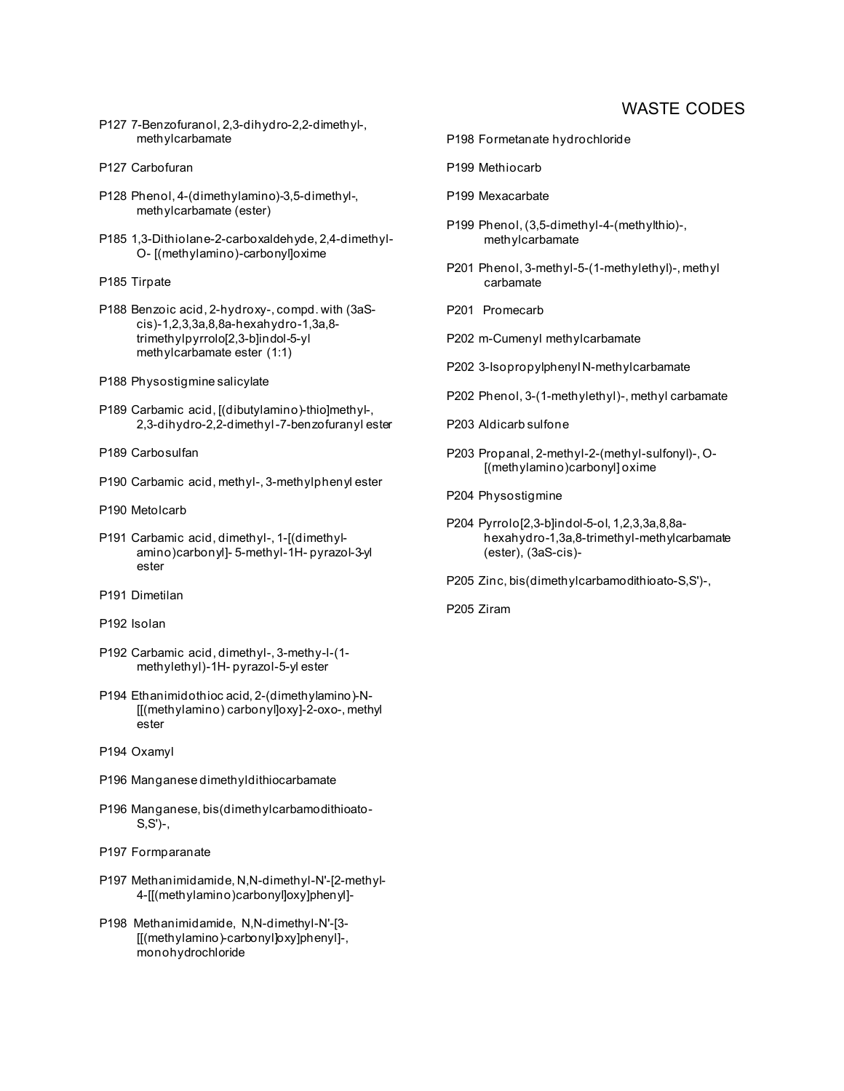- P127 7-Benzofuranol, 2,3-dihydro-2,2-dimethyl-, methylcarbamate
- P127 Carbofuran
- P128 Phenol, 4-(dimethylamino)-3,5-dimethyl-, methylcarbamate (ester)
- P185 1,3-Dithiolane-2-carboxaldehyde, 2,4-dimethyl-O- [(methylamino)-carbonyl]oxime
- P185 Tirpate
- P188 Benzoic acid, 2-hydroxy-, compd. with (3aScis)-1,2,3,3a,8,8a-hexahydro-1,3a,8 trimethylpyrrolo[2,3-b]indol-5-yl methylcarbamate ester (1:1)
- P188 Physostigmine salicylate
- P189 Carbamic acid, [(dibutylamino)-thio]methyl-, 2,3-dihydro-2,2-dimethyl -7-benzofuranyl ester
- P189 Carbosulfan
- P190 Carbamic acid, methyl-, 3-methylphenyl ester
- P190 Metolcarb
- P191 Carbamic acid, dimethyl-, 1-[(dimethylamino)carbonyl]- 5-methyl-1H- pyrazol-3-yl ester
- P191 Dimetilan
- P192 Isolan
- P192 Carbamic acid, dimethyl-, 3-methy-l-(1 methylethyl)-1H- pyrazol-5-yl ester
- P194 Ethanimidothioc acid, 2-(dimethylamino)-N- [[(methylamino) carbonyl]oxy]-2-oxo-, methyl ester
- P194 Oxamyl
- P196 Manganese dimethyldithiocarbamate
- P196 Manganese, bis(dimethylcarbamodithioato-S,S')-,
- P197 Formparanate
- P197 Methanimidamide, N,N-dimethyl-N'-[2-methyl-4-[[(methylamino)carbonyl]oxy]phenyl]-
- P198 Methanimidamide, N,N-dimethyl-N'-[3- [[(methylamino)-carbonyl]oxy]phenyl]-, monohydrochloride
- P198 Formetanate hydrochloride
- P199 Methiocarb
- P199 Mexacarbate
- P199 Phenol, (3,5-dimethyl-4-(methylthio)-, methylcarbamate
- P201 Phenol, 3-methyl-5-(1-methylethyl)-, methyl carbamate
- P201 Promecarb
- P202 m-Cumenyl methylcarbamate
- P202 3-Isopropylphenyl N-methylcarbamate
- P202 Phenol, 3-(1-methylethyl)-, methyl carbamate
- P203 Aldicarb sulfone
- P203 Propanal, 2-methyl-2-(methyl-sulfonyl)-, O- [(methylamino)carbonyl] oxime
- P204 Physostigmine
- P204 Pyrrolo[2,3-b]indol-5-ol, 1,2,3,3a,8,8ahexahydro-1,3a,8-trimethyl-methylcarbamate (ester), (3aS-cis)-
- P205 Zinc, bis(dimethylcarbamodithioato-S,S')-,
- P205 Ziram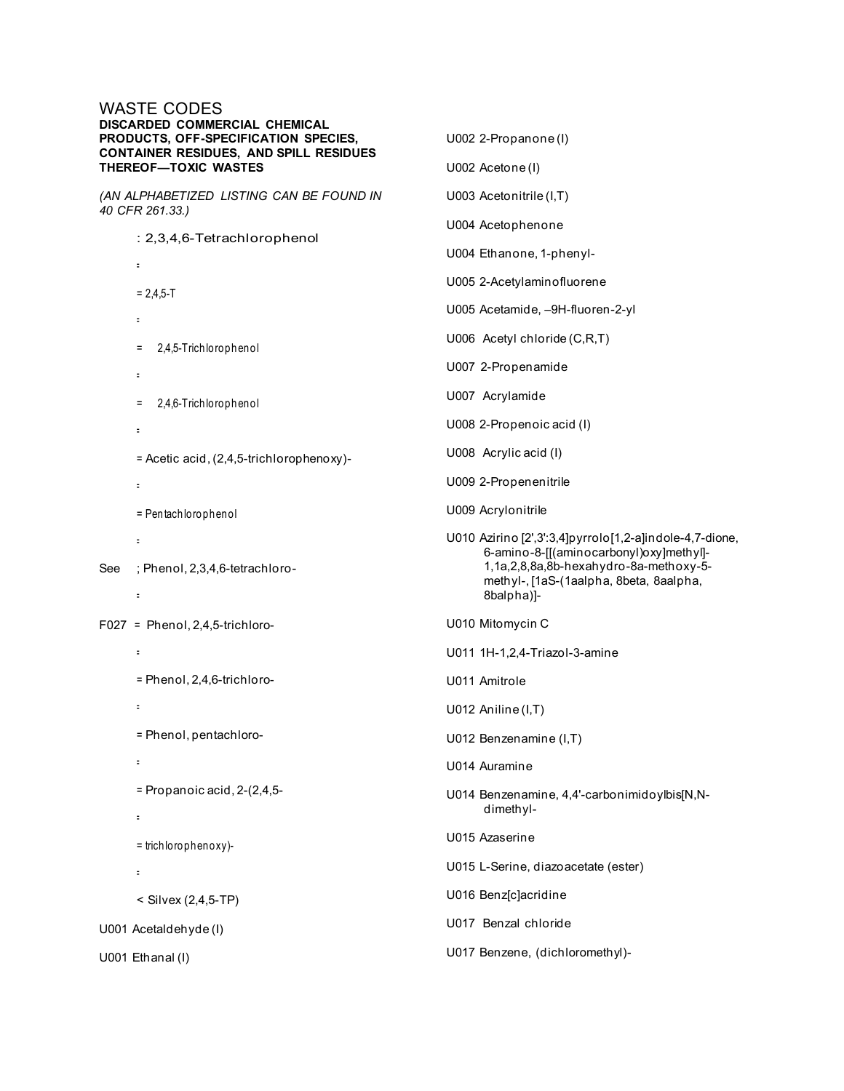#### WASTE CODES **DISCARDED COMMERCIAL CHEMICAL PRODUCTS, OFF-SPECIFICATION SPECIES, CONTAINER RESIDUES, AND SPILL RESIDUES THEREOF—TOXIC WASTES** *(AN ALPHABETIZED LISTING CAN BE FOUND IN 40 CFR 261.33.)* U002 2-Propanone (I) U002 Acetone (I) U003 Acetonitrile (I,T)

: 2,3,4,6-Tetrachlorophenol =  $= 2,4,5 - T$ = = 2,4,5-Trichlorophenol = = 2,4,6-Trichlorophenol = = Acetic acid, (2,4,5-trichlorophenoxy)- = = Pen tach lo ro p h en o l = See ; Phenol, 2,3,4,6-tetrachloro- = F027 = Phenol, 2,4,5-trichloro- = = Phenol, 2,4,6-trichloro- = = Phenol, pentachloro- = = Propanoic acid, 2-(2,4,5-

U008 Acrylic acid (I) U009 2-Propenenitrile U009 Acrylonitrile U010 Azirino [2',3':3,4]pyrrolo[1,2-a]indole-4,7-dione, 6-amino-8-[[(aminocarbonyl)oxy]methyl]- 1,1a,2,8,8a,8b-hexahydro-8a-methoxy-5 methyl-, [1aS-(1aalpha, 8beta, 8aalpha, 8balpha)]- U010 Mitomycin C U011 1H-1,2,4-Triazol-3-amine U011 Amitrole U012 Aniline (I,T) U012 Benzenamine (I,T) U014 Auramine U014 Benzenamine, 4,4'-carbonimidoylbis[N,Ndimethyl-U015 Azaserine U015 L-Serine, diazoacetate (ester) U016 Benz[c]acridine U017 Benzal chloride

U017 Benzene, (dichloromethyl)-

U004 Acetophenone

U004 Ethanone, 1-phenyl-

U005 2-Acetylaminofluorene

U006 Acetyl chloride (C,R,T)

U007 2-Propenamide

U008 2-Propenoic acid (I)

U007 Acrylamide

U005 Acetamide, –9H-fluoren-2-yl

U001 Ethanal (I)

U001 Acetaldehyde (I)

=

=

= trich lo ro p h en o xy)-

< Silvex (2,4,5-TP)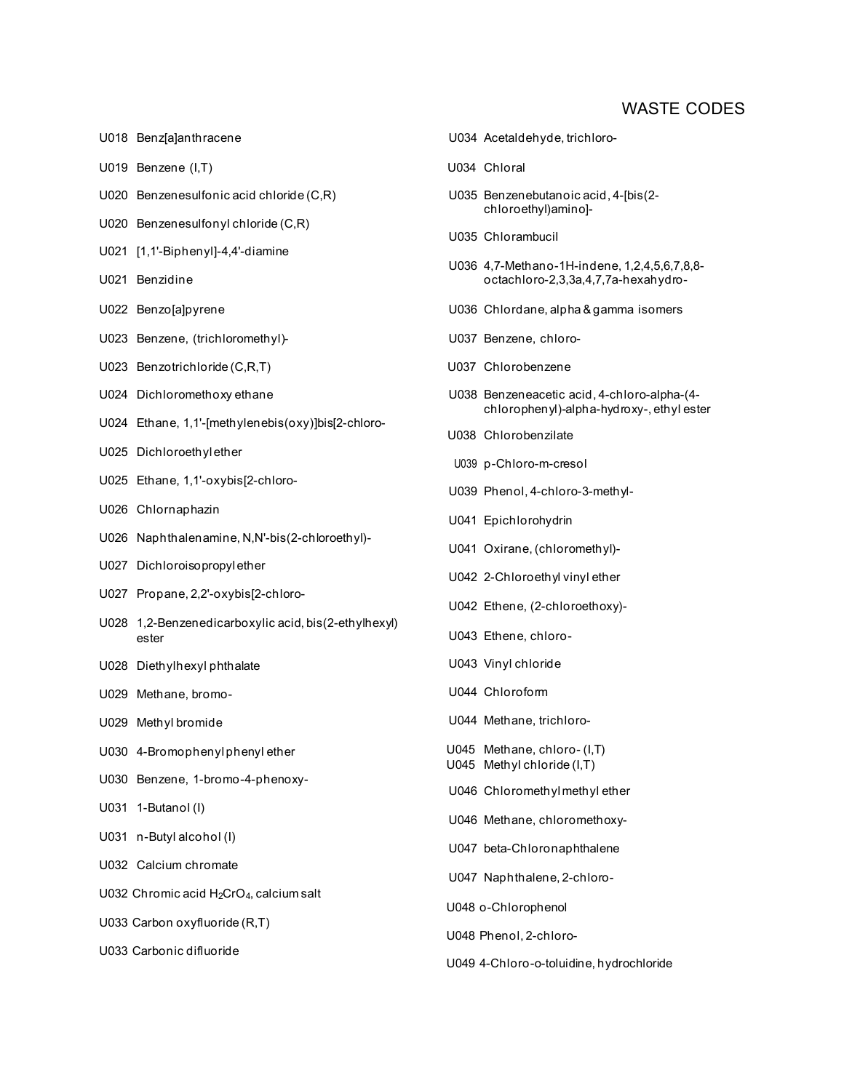- 
- U019 Benzene (I,T) and the U034 Chloral
- U020 Benzenesulfonic acid chloride (C,R) U035 Benzenebutanoic acid, 4-[bis(2-
- U020 Benzenesulfonyl chloride (C,R)
- U021 [1,1'-Biphenyl]-4,4'-diamine
- 
- 
- U023 Benzene, (trichloromethyl)- U037 Benzene, chloro-
- U023 Benzotrichloride (C,R,T) U023 Benzotrichloride (C,R,T)
- 
- U024 Ethane, 1,1'-[methylenebis(oxy)]bis[2-chloro-
- U025 Dichloroethyl ether
- 
- 
- 
- U027 Dichloroisopropyl ether
- U027 Propane, 2,2'-oxybis[2-chloro-
- U028 1,2-Benzenedicarboxylic acid, bis(2-ethylhexyl) ester U043 Ethene, chloro-
- U028 Diethylhexyl phthalate U028 U043 Vinyl chloride
- 
- 
- U030 4-Bromophenylphenyl ether
- U030 Benzene, 1-bromo-4-phenoxy-
- U031 1-Butanol (I)
- U031 n-Butyl alcohol (I)
- U032 Calcium chromate
- U032 Chromic acid H2CrO4, calcium salt
- U033 Carbon oxyfluoride (R,T)
- U033 Carbonic difluoride
- U018 Benz[a]anthracene U034 Acetaldehyde, trichlorochloroethyl)amino]- U035 Chlorambucil U036 4,7-Methano-1H-indene, 1,2,4,5,6,7,8,8- U021 Benzidine **octachloro-2,3,3a,4,7,7a-hexahydro-**U022 Benzo[a]pyrene U036 Chlordane, alpha & gamma isomers U024 Dichloromethoxy ethane U038 Benzeneacetic acid, 4-chloro-alpha-(4 chlorophenyl)-alpha-hydroxy-, ethyl ester U038 Chlorobenzilate U039 p-Chloro-m-cresol U025 Ethane, 1,1'-oxybis[2-chloro- U039 Phenol, 4-chloro-3-methyl-U026 Chlornaphazin U041 Epichlorohydrin U026 Naphthalenamine, N,N'-bis(2-chloroethyl)- U041 Oxirane, (chloromethyl)- U042 2-Chloroethyl vinyl ether U042 Ethene, (2-chloroethoxy)- U029 Methane, bromo- U044 Chloroform U029 Methyl bromide COV CONTENT CONTENT UNIVERSITY OF Methane, trichloro-U045 Methyl chloride (I,T) U045 Methane, chloro- (I,T) U046 Chloromethyl methyl ether
	- U046 Methane, chloromethoxy-
	- U047 beta-Chloronaphthalene
	- U047 Naphthalene, 2-chloro-
	- U048 o-Chlorophenol
	- U048 Phenol, 2-chloro-
	- U049 4-Chloro-o-toluidine, hydrochloride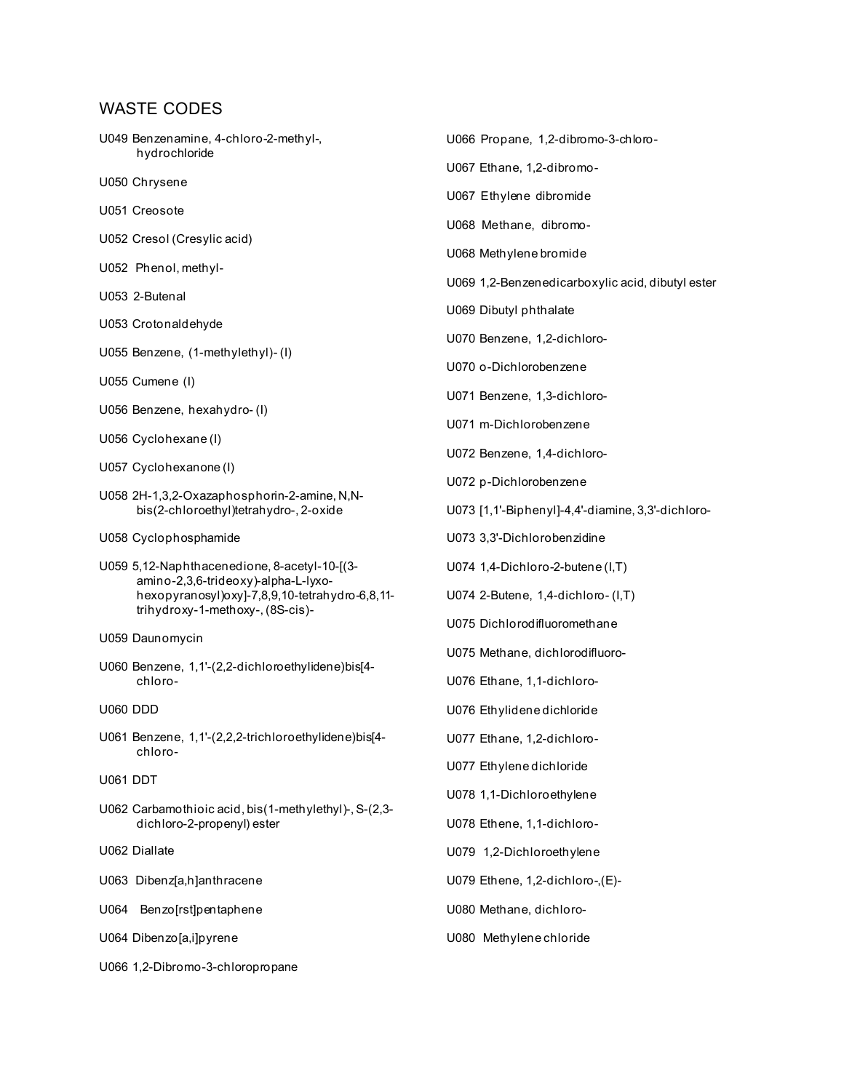U049 Benzenamine, 4-chloro-2-methyl-, hydrochloride

U050 Chrysene

U051 Creosote

U052 Cresol (Cresylic acid)

U052 Phenol, methyl-

U053 2-Butenal

U053 Crotonaldehyde

U055 Benzene, (1-methylethyl)- (I)

U055 Cumene (I)

U056 Benzene, hexahydro- (I)

U056 Cyclohexane (I)

U057 Cyclohexanone (I)

U058 2H-1,3,2-Oxazaphosphorin-2-amine, N,Nbis(2-chloroethyl)tetrahydro-, 2-oxide

U058 Cyclophosphamide

U059 5,12-Naphthacenedione, 8-acetyl-10-[(3 amino-2,3,6-trideoxy)-alpha-L-lyxohexopyranosyl)oxy]-7,8,9,10-tetrahydro-6,8,11 trihydroxy-1-methoxy-, (8S-cis)-

U059 Daunomycin

U060 Benzene, 1,1'-(2,2-dichloroethylidene)bis[4 chloro-

U060 DDD

U061 Benzene, 1,1'-(2,2,2-trichloroethylidene)bis[4 chloro-

U061 DDT

U062 Carbamothioic acid, bis(1-methylethyl)-, S-(2,3 dichloro-2-propenyl) ester

U062 Diallate

U063 Dibenz[a,h]anthracene

U064 Benzo[rst]pentaphene

U064 Dibenzo[a,i]pyrene

U066 1,2-Dibromo-3-chloropropane

U066 Propane, 1,2-dibromo-3-chloro-U067 Ethane, 1,2-dibromo-U067 Ethylene dibromide U068 Methane, dibromo-U068 Methylene bromide U069 1,2-Benzenedicarboxylic acid, dibutyl ester U069 Dibutyl phthalate U070 Benzene, 1,2-dichloro-U070 o-Dichlorobenzene U071 Benzene, 1,3-dichloro-U071 m-Dichlorobenzene U072 Benzene, 1,4-dichloro-U072 p-Dichlorobenzene U073 [1,1'-Biphenyl]-4,4'-diamine, 3,3'-dichloro-U073 3,3'-Dichlorobenzidine U074 1,4-Dichloro-2-butene (I,T) U074 2-Butene, 1,4-dichloro- (I,T) U075 Dichlorodifluoromethane U075 Methane, dichlorodifluoro-U076 Ethane, 1,1-dichloro-U076 Ethylidene dichloride U077 Ethane, 1,2-dichloro-U077 Ethylene dichloride U078 1,1-Dichloroethylene U078 Ethene, 1,1-dichloro-U079 1,2-Dichloroethylene U079 Ethene, 1,2-dichloro-,(E)- U080 Methane, dichloro-

U080 Methylene chloride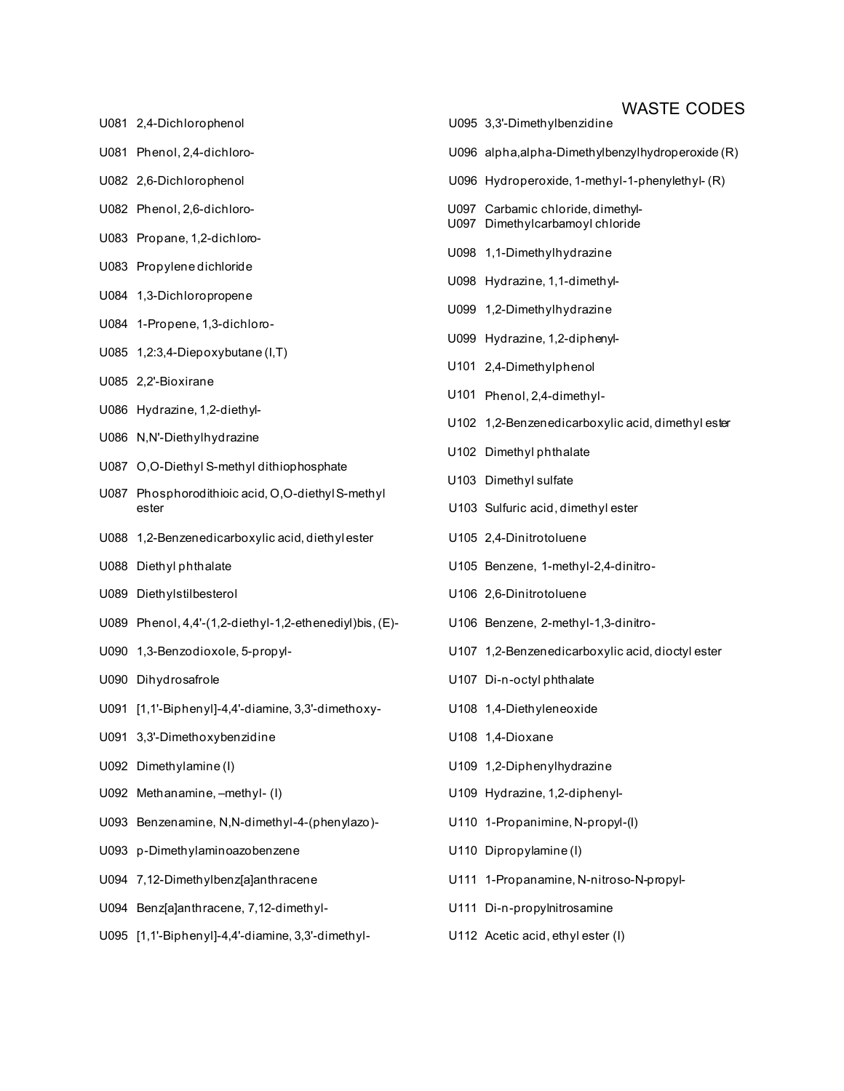- U081 2,4-Dichlorophenol U095 3,3'-Dimethylbenzidine U095
- U081 Phenol, 2,4-dichloro- U096 alpha,alpha,alpha,alpha,alpha,alpha,alpha,alpha,alpha,alpha,alpha,alpha,alpha,
- U082 2,6-Dichlorophenol U096 Hydroperoxide, 1-methyl-1-phenylethyl-phenylethyl-phenylethyl-phenylethyl-
- U082 Phenol, 2,6-dichloro-
- U083 Propane, 1,2-dichloro-
- U083 Propylene dichloride
- U084 1,3-Dichloropropene
- U084 1-Propene, 1,3-dichloro-
- U085 1,2:3,4-Diepoxybutane (I,T)
- U085 2,2'-Bioxirane
- U086 Hydrazine, 1,2-diethyl-
- U086 N,N'-Diethylhydrazine
- U087 O,O-Diethyl S-methyl dithiophosphate
- U087 Phosphorodithioic acid, O,O-diethyl S-methyl ester U103 Sulfuric acid, dimethyl ester
- U088 1,2-Benzenedicarboxylic acid, diethylester U105
- U088 Diethyl phthalate U105 Benzene, 1-methyl-2,4-dinitro-
- U089 Diethylstilbesterol V106
- U089 Phenol, 4,4'-(1,2-diethyl-1,2-ethenediyl)bis, (E)- U106
- U090 1,3-Benzodioxole, 5-propyl- acid, dioctylic activity esterior activity esterior activity esterior activity
- U090 Dihydrosafrole U107 Di-n-octyl phthalate U107 Di-n-octyl phthalate U107 Di-
- U091 [1,1'-Biphenyl]-4,4'-diamine, 3,3'-dimethoxy- U108
- U091 3,3'-Dimethoxybenzidine U108 1,40-Dioxane U108
- U092 Dimethylamine (I) 1092 1,2-Dimethylamine (I)
- U092 Methanamine, –methyl- (I) New York Hydrasine, 1,2009
- U093 Benzenamine, N,N-dimethyl-4-(phenylazo)- U11
- U093 p-Dimethylaminoazobenzene metalamine (U110
- U094 7,12-Dimethylbenz[a]anthracene U11<sup>-</sup>
- U094 Benz[a]anthracene, 7,12-dimethyl- U111 Di-n-propylnitrosamine
- U095 [1,1'-Biphenyl]-4,4'-diamine, 3,3'-dimethyl- U112 Acetic acid, ethyl ester (I)

|              | <b>WASTE CODES</b>                                         |
|--------------|------------------------------------------------------------|
|              | U095 3,3'-Dimethylbenzidine                                |
|              | U096 alpha, alpha-Dimethylbenzylhydroperoxide (R)          |
| U096         | Hydroperoxide, 1-methyl-1-phenylethyl-(R)                  |
| U097<br>U097 | Carbamic chloride, dimethyl-<br>Dimethylcarbamoyl chloride |
| U098         | 1,1-Dimethylhydrazine                                      |
| U098         | Hydrazine, 1,1-dimethyl-                                   |
| U099         | 1,2-Dimethylhydrazine                                      |
| U099         | Hydrazine, 1,2-diphenyl-                                   |
| U101         | 2,4-Dimethylphenol                                         |
| U101         | Phenol, 2,4-dimethyl-                                      |
| U102         | 1,2-Benzenedicarboxylic acid, dimethyl ester               |
| U102         | Dimethyl phthalate                                         |
| U103         | Dimethyl sulfate                                           |
|              | U103 Sulfuric acid, dimethyl ester                         |
|              | U105 2,4-Dinitrotoluene                                    |
|              | U105 Benzene, 1-methyl-2,4-dinitro-                        |
|              | U106 2,6-Dinitrotoluene                                    |
|              | U106 Benzene, 2-methyl-1,3-dinitro-                        |
|              | U107 1,2-Benzenedicarboxylic acid, dioctyl ester           |
|              | U107 Di-n-octyl phthalate                                  |
|              | U108 1,4-Diethyleneoxide                                   |
|              | U108 1,4-Dioxane                                           |
|              | U109 1,2-Diphenylhydrazine                                 |
|              | U109 Hydrazine, 1,2-diphenyl-                              |
| U110         | 1-Propanimine, N-propyl-(I)                                |
|              | U110 Dipropylamine(I)                                      |
|              | U111 1-Propanamine, N-nitroso-N-propyl-                    |
|              |                                                            |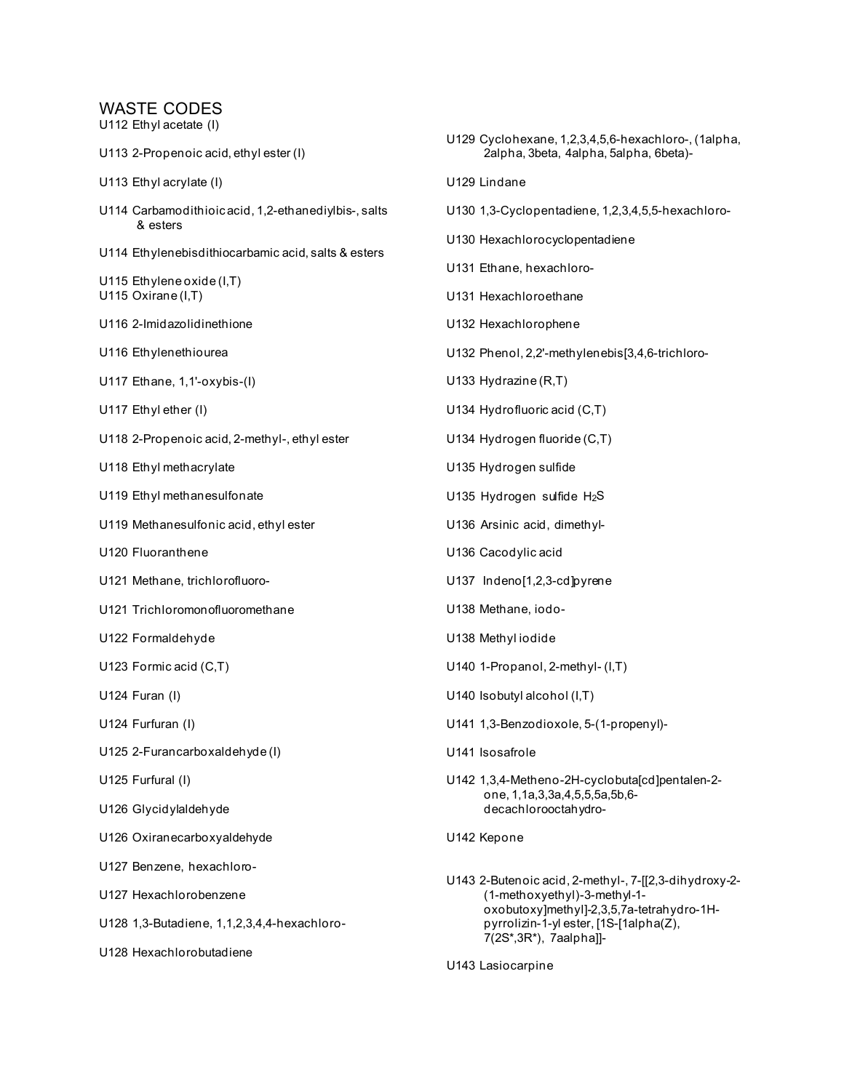U112 Ethyl acetate (I)

U113 2-Propenoic acid, ethyl ester (I)

- U113 Ethyl acrylate (I)
- U114 Carbamodithioic acid, 1,2-ethanediylbis-, salts & esters
- U114 Ethylenebisdithiocarbamic acid, salts & esters
- U115 Ethylene oxide (I,T) U115 Oxirane (I,T)
- U116 2-Imidazolidinethione
- U116 Ethylenethiourea
- U117 Ethane, 1,1'-oxybis-(I)
- U117 Ethyl ether (I)
- U118 2-Propenoic acid, 2-methyl-, ethyl ester
- U118 Ethyl methacrylate
- U119 Ethyl methanesulfonate
- U119 Methanesulfonic acid, ethyl ester
- U120 Fluoranthene
- U121 Methane, trichlorofluoro-
- U121 Trichloromonofluoromethane
- U122 Formaldehyde
- U123 Formic acid (C,T)
- U124 Furan (I)
- U124 Furfuran (I)
- U125 2-Furancarboxaldehyde (I)
- U125 Furfural (I)
- U126 Glycidylaldehyde
- U126 Oxiranecarboxyaldehyde
- U127 Benzene, hexachloro-
- U127 Hexachlorobenzene
- U128 1,3-Butadiene, 1,1,2,3,4,4-hexachloro-
- U128 Hexachlorobutadiene
- U129 Cyclohexane, 1,2,3,4,5,6-hexachloro-, (1alpha, 2alpha, 3beta, 4alpha, 5alpha, 6beta)- U129 Lindane U130 1,3-Cyclopentadiene, 1,2,3,4,5,5-hexachloro-U130 Hexachlorocyclopentadiene U131 Ethane, hexachloro-U131 Hexachloroethane U132 Hexachlorophene U132 Phenol, 2,2'-methylenebis[3,4,6-trichloro-U133 Hydrazine (R,T) U134 Hydrofluoric acid (C,T) U134 Hydrogen fluoride (C,T) U135 Hydrogen sulfide U135 Hydrogen sulfide H<sub>2</sub>S U136 Arsinic acid, dimethyl-U136 Cacodylic acid U137 Indeno[1,2,3-cd]pyrene U138 Methane, iodo-U138 Methyl iodide U140 1-Propanol, 2-methyl- (I,T) U140 Isobutyl alcohol (I,T) U141 1,3-Benzodioxole, 5-(1-propenyl)- U141 Isosafrole U142 1,3,4-Metheno-2H-cyclobuta[cd]pentalen-2 one, 1,1a,3,3a,4,5,5,5a,5b,6 decachlorooctahydro-U142 Kepone U143 2-Butenoic acid, 2-methyl-, 7-[[2,3-dihydroxy-2- (1-methoxyethyl)-3-methyl-1
	- oxobutoxy]methyl]-2,3,5,7a-tetrahydro-1Hpyrrolizin-1-yl ester, [1S-[1alpha(Z), 7(2S\*,3R\*), 7aalpha]]-
- U143 Lasiocarpine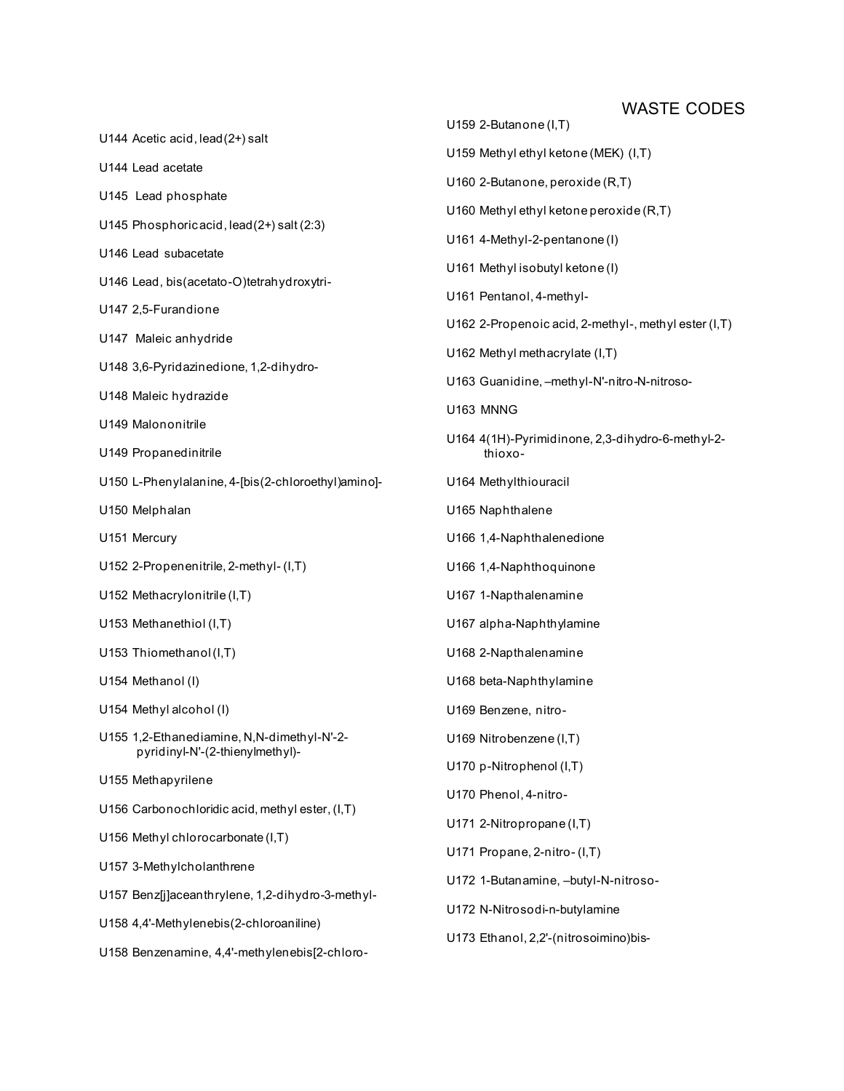U144 Acetic acid, lead(2+) salt U144 Lead acetate U145 Lead phosphate U145 Phosphoric acid, lead(2+) salt (2:3) U146 Lead subacetate U146 Lead, bis(acetato-O)tetrahydroxytri-U147 2,5-Furandione U147 Maleic anhydride U148 3,6-Pyridazinedione, 1,2-dihydro-U148 Maleic hydrazide U149 Malononitrile U149 Propanedinitrile U150 L-Phenylalanine, 4-[bis(2-chloroethyl)amino]- U150 Melphalan U151 Mercury U152 2-Propenenitrile, 2-methyl- (I,T) U152 Methacrylonitrile (I,T) U153 Methanethiol (I,T) U153 Thiomethanol (I,T) U154 Methanol (I) U154 Methyl alcohol (I) U155 1,2-Ethanediamine, N,N-dimethyl-N'-2 pyridinyl-N'-(2-thienylmethyl)- U155 Methapyrilene U156 Carbonochloridic acid, methyl ester, (I,T) U156 Methyl chlorocarbonate (I,T) U157 3-Methylcholanthrene U157 Benz[j]aceanthrylene, 1,2-dihydro-3-methyl-U158 4,4'-Methylenebis(2-chloroaniline) U159 2-Butanone (I,T) U159 Methyl ethyl ketone (MEK) (I,T) U160 2-Butanone, peroxide (R,T) U160 Methyl ethyl ketone peroxide (R,T) U161 4-Methyl-2-pentanone (I) U161 Methyl isobutyl ketone (I) U161 Pentanol, 4-methyl-U162 2-Propenoic acid, 2-methyl-, methyl ester (I,T) U162 Methyl methacrylate (I,T) U163 Guanidine, –methyl-N'-nitro-N-nitroso-U163 MNNG U164 4(1H)-Pyrimidinone, 2,3-dihydro-6-methyl-2 thioxo-U164 Methylthiouracil U165 Naphthalene U166 1,4-Naphthalenedione U166 1,4-Naphthoquinone U167 1-Napthalenamine U167 alpha-Naphthylamine U168 2-Napthalenamine U168 beta-Naphthylamine U169 Benzene, nitro-U169 Nitrobenzene (I,T) U170 p-Nitrophenol (I,T) U170 Phenol, 4-nitro-U171 2-Nitropropane (I,T) U171 Propane, 2-nitro- (I,T) U172 1-Butanamine, –butyl-N-nitroso-U172 N-Nitrosodi-n-butylamine U173 Ethanol, 2,2'-(nitrosoimino)bis-

U158 Benzenamine, 4,4'-methylenebis[2-chloro-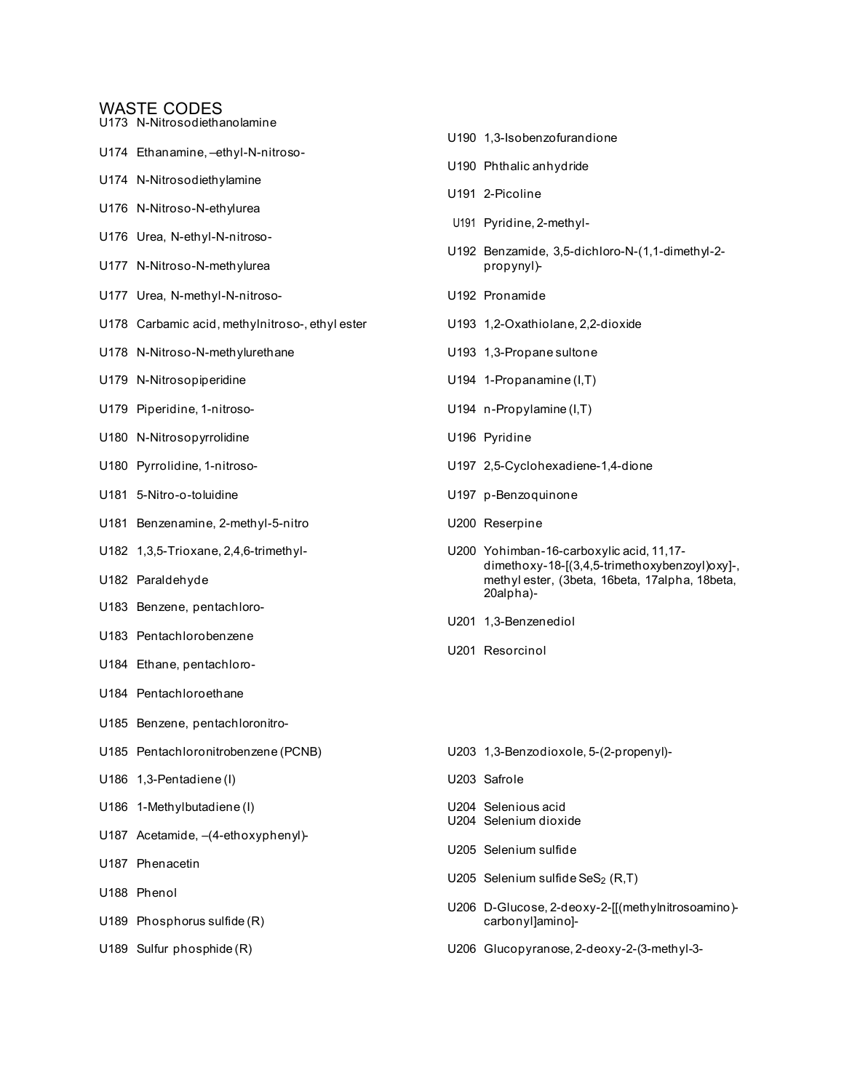- U173 N-Nitrosodiethanolamine
- U174 Ethanamine, –ethyl-N-nitroso-
- U174 N-Nitrosodiethylamine
- U176 N-Nitroso-N-ethylurea
- U176 Urea, N-ethyl-N-nitroso-
- U177 N-Nitroso-N-methylurea
- U177 Urea, N-methyl-N-nitroso-<br>
U192 Pronamide
- U178 Carbamic acid, methylnitroso-, ethyl ester U193 1,2-Oxathiolane, 2,2-dioxide
- U178 N-Nitroso-N-methylurethane U193 1,3-Propane sultone
- U179 N-Nitrosopiperidine CHT CONSERVITY UNITS UNITS UNITS NOTIFIES UNITS UNITS NOTIFIES UNITS UP A UNITS OF TH
- U179 Piperidine, 1-nitroso- Casa Control Communication Control Communication Communication Communication Communication Communication Communication Communication Communication Communication Communication Communication Commu
- U180 N-Nitrosopyrrolidine **Witter Strategier Controller United Strategiers** U196 Pyridine
- 
- 
- U181 Benzenamine, 2-methyl-5-nitro Valley Reserpine
- 
- 
- U183 Benzene, pentachloro-
- U183 Pentachlorobenzene
- U184 Ethane, pentachloro-
- U184 Pentachloroethane
- U185 Benzene, pentachloronitro-
- 
- U186 1,3-Pentadiene (I) U203 Safrole
- U186 1-Methylbutadiene (I) U204 Selenious acid
- U187 Acetamide, –(4-ethoxyphenyl)-
- U187 Phenacetin
- U188 Phenol
- U189 Phosphorus sulfide (R) carbonyl]amino]-
- 
- U190 Phthalic anhydride U191 2-Picoline U191 Pyridine, 2-methyl-U192 Benzamide, 3,5-dichloro-N-(1,1-dimethyl-2-
- 

U190 1,3-Isobenzofurandione

- 
- 
- 
- U180 Pyrrolidine, 1-nitroso- U197 2,5-Cyclohexadiene-1,4-dione
- U181 5-Nitro-o-toluidine U197 p-Benzoquinone
	-
- U182 1,3,5-Trioxane, 2,4,6-trimethyl- U200 Yohimban-16-carboxylic acid, 11,17 dimethoxy-18-[(3,4,5-trimethoxybenzoyl)oxy]-, U182 Paraldehyde methyl ester, (3beta, 16beta, 17alpha, 18beta, 20alpha)-
	- U201 1,3-Benzenediol
	- U201 Resorcinol
- U185 Pentachloronitrobenzene (PCNB) U203 1,3-Benzodioxole, 5-(2-propenyl)-
	-
	-
	- U204 Selenium dioxide
	- U205 Selenium sulfide
	- U205 Selenium sulfide SeS<sub>2</sub> (R,T)
	- U206 D-Glucose, 2-deoxy-2-[[(methylnitrosoamino)-
- U189 Sulfur phosphide (R) U206 Glucopyranose, 2-deoxy-2-(3-methyl-3-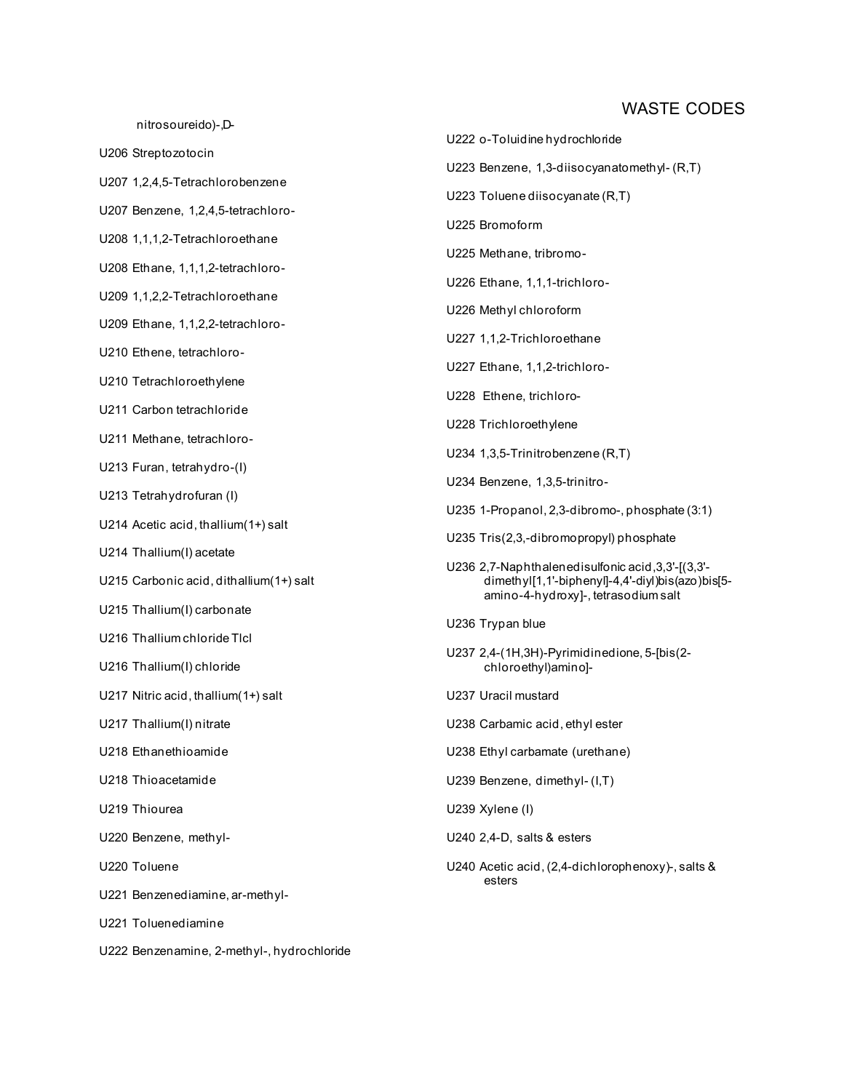nitrosoureido)-,D-

U206 Streptozotocin U207 1,2,4,5-Tetrachlorobenzene U207 Benzene, 1,2,4,5-tetrachloro-U208 1,1,1,2-Tetrachloroethane U208 Ethane, 1,1,1,2-tetrachloro-U209 1,1,2,2-Tetrachloroethane U209 Ethane, 1,1,2,2-tetrachloro-U210 Ethene, tetrachloro-U210 Tetrachloroethylene U211 Carbon tetrachloride U211 Methane, tetrachloro-U213 Furan, tetrahydro-(I) U213 Tetrahydrofuran (I) U214 Acetic acid, thallium(1+) salt U214 Thallium(I) acetate U215 Carbonic acid, dithallium(1+) salt U215 Thallium(I) carbonate U216 Thallium chloride Tlcl U216 Thallium(I) chloride U217 Nitric acid, thallium(1+) salt U217 Thallium(I) nitrate U218 Ethanethioamide U218 Thioacetamide U219 Thiourea U220 Benzene, methyl-U220 Toluene U221 Benzenediamine, ar-methyl-U221 Toluenediamine U222 Benzenamine, 2-methyl-, hydrochloride

U223 Benzene, 1,3-diisocyanatomethyl- (R,T) U223 Toluene diisocyanate (R,T) U225 Bromoform U225 Methane, tribromo-U226 Ethane, 1,1,1-trichloro-U226 Methyl chloroform U227 1,1,2-Trichloroethane U227 Ethane, 1,1,2-trichloro-U228 Ethene, trichloro-U228 Trichloroethylene U234 1,3,5-Trinitrobenzene (R,T) U234 Benzene, 1,3,5-trinitro-U235 1-Propanol, 2,3-dibromo-, phosphate (3:1) U235 Tris(2,3,-dibromopropyl) phosphate U236 2,7-Naphthalenedisulfonic acid,3,3'-[(3,3' dimethyl[1,1'-biphenyl]-4,4'-diyl)bis(azo)bis[5 amino-4-hydroxy]-, tetrasodium salt U236 Trypan blue U237 2,4-(1H,3H)-Pyrimidinedione, 5-[bis(2 chloroethyl)amino]- U237 Uracil mustard U238 Carbamic acid, ethyl ester U238 Ethyl carbamate (urethane) U239 Benzene, dimethyl- (I,T) U239 Xylene (I) U240 2,4-D, salts & esters U240 Acetic acid, (2,4-dichlorophenoxy)-, salts &

esters

U222 o-Toluidine hydrochloride